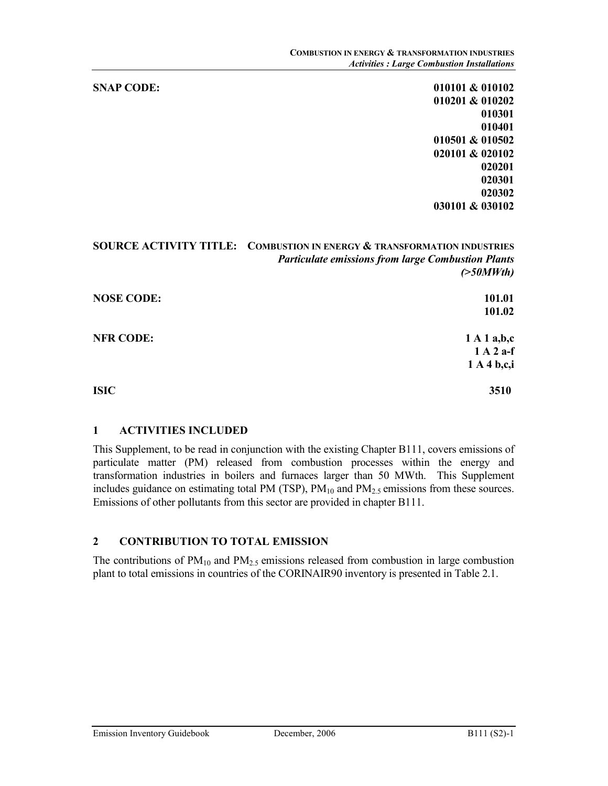SNAP CODE: 010101 & 010102 010201 & 010202 010301 010401 010501 & 010502 020101 & 020102 020201 020301 020302 030101 & 030102

# SOURCE ACTIVITY TITLE: COMBUSTION IN ENERGY & TRANSFORMATION INDUSTRIES Particulate emissions from large Combustion Plants  $($ >50MWth) NOSE CODE: 101.01 101.02 NFR CODE: 1 A 1 a,b,c 1 A 2 a-f 1 A 4 b,c,i  $I$ SIC  $3510$

#### 1 ACTIVITIES INCLUDED

This Supplement, to be read in conjunction with the existing Chapter B111, covers emissions of particulate matter (PM) released from combustion processes within the energy and transformation industries in boilers and furnaces larger than 50 MWth. This Supplement includes guidance on estimating total PM (TSP),  $PM_{10}$  and  $PM_{2.5}$  emissions from these sources. Emissions of other pollutants from this sector are provided in chapter B111.

## 2 CONTRIBUTION TO TOTAL EMISSION

The contributions of  $PM_{10}$  and  $PM_{2.5}$  emissions released from combustion in large combustion plant to total emissions in countries of the CORINAIR90 inventory is presented in Table 2.1.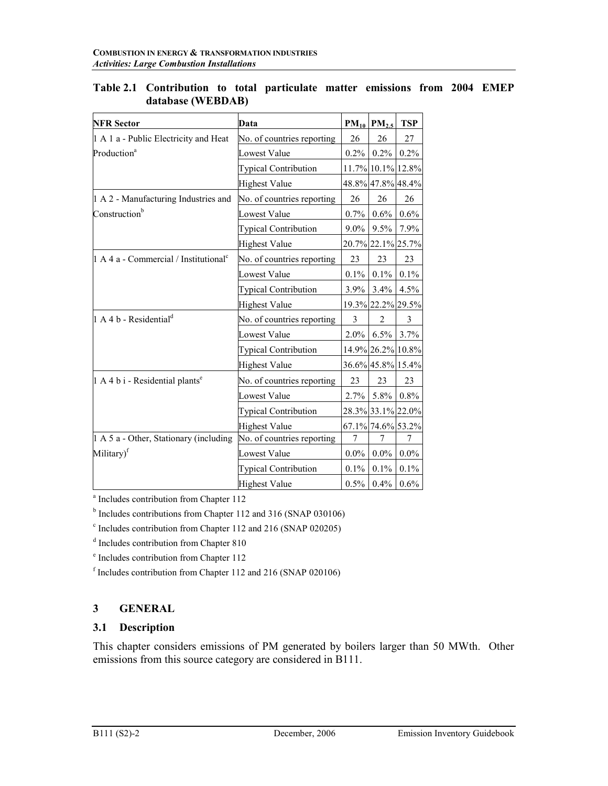| <b>NFR Sector</b>                                 | Data                        |         | $PM_{10}$ $PM_{2.5}$ | <b>TSP</b> |
|---------------------------------------------------|-----------------------------|---------|----------------------|------------|
| 1 A 1 a - Public Electricity and Heat             | No. of countries reporting  | 26      | 26                   | 27         |
| Production <sup>a</sup>                           | Lowest Value                | $0.2\%$ | $0.2\%$              | 0.2%       |
|                                                   | <b>Typical Contribution</b> |         | 11.7% 10.1% 12.8%    |            |
|                                                   | <b>Highest Value</b>        |         | 48.8% 47.8% 48.4%    |            |
| 1 A 2 - Manufacturing Industries and              | No. of countries reporting  | 26      | 26                   | 26         |
| Construction <sup>b</sup>                         | <b>Lowest Value</b>         | $0.7\%$ | $0.6\%$              | 0.6%       |
|                                                   | <b>Typical Contribution</b> | $9.0\%$ | 9.5%                 | 7.9%       |
|                                                   | <b>Highest Value</b>        |         | 20.7% 22.1% 25.7%    |            |
| 1 A 4 a - Commercial / Institutional <sup>c</sup> | No. of countries reporting  | 23      | 23                   | 23         |
|                                                   | <b>Lowest Value</b>         | $0.1\%$ | $0.1\%$              | 0.1%       |
|                                                   | <b>Typical Contribution</b> | $3.9\%$ | 3.4%                 | 4.5%       |
|                                                   | <b>Highest Value</b>        |         | 19.3% 22.2% 29.5%    |            |
| 1 A 4 b - Residential <sup>d</sup>                | No. of countries reporting  | 3       | $\overline{2}$       | 3          |
|                                                   | <b>Lowest Value</b>         | $2.0\%$ |                      | 6.5% 3.7%  |
|                                                   | <b>Typical Contribution</b> |         | 14.9% 26.2% 10.8%    |            |
|                                                   | Highest Value               |         | 36.6% 45.8% 15.4%    |            |
| 1 A 4 b i - Residential plants <sup>e</sup>       | No. of countries reporting  | 23      | 23                   | 23         |
|                                                   | Lowest Value                | 2.7%    | $5.8\%$              | 0.8%       |
|                                                   | <b>Typical Contribution</b> |         | 28.3% 33.1% 22.0%    |            |
|                                                   | <b>Highest Value</b>        |         | 67.1% 74.6% 53.2%    |            |
| 1 A 5 a - Other, Stationary (including            | No. of countries reporting  | 7       | 7                    | 7          |
| Military) <sup>f</sup>                            | Lowest Value                | $0.0\%$ | $0.0\%$              | $0.0\%$    |
|                                                   | <b>Typical Contribution</b> | 0.1%    | 0.1%                 | 0.1%       |
|                                                   | <b>Highest Value</b>        | $0.5\%$ | 0.4%                 | 0.6%       |

Table 2.1 Contribution to total particulate matter emissions from 2004 EMEP database (WEBDAB)

a Includes contribution from Chapter 112

<sup>b</sup> Includes contributions from Chapter 112 and 316 (SNAP 030106)

<sup>c</sup> Includes contribution from Chapter 112 and 216 (SNAP 020205)

<sup>d</sup> Includes contribution from Chapter 810

e Includes contribution from Chapter 112

f Includes contribution from Chapter 112 and 216 (SNAP 020106)

# 3 GENERAL

#### 3.1 Description

This chapter considers emissions of PM generated by boilers larger than 50 MWth. Other emissions from this source category are considered in B111.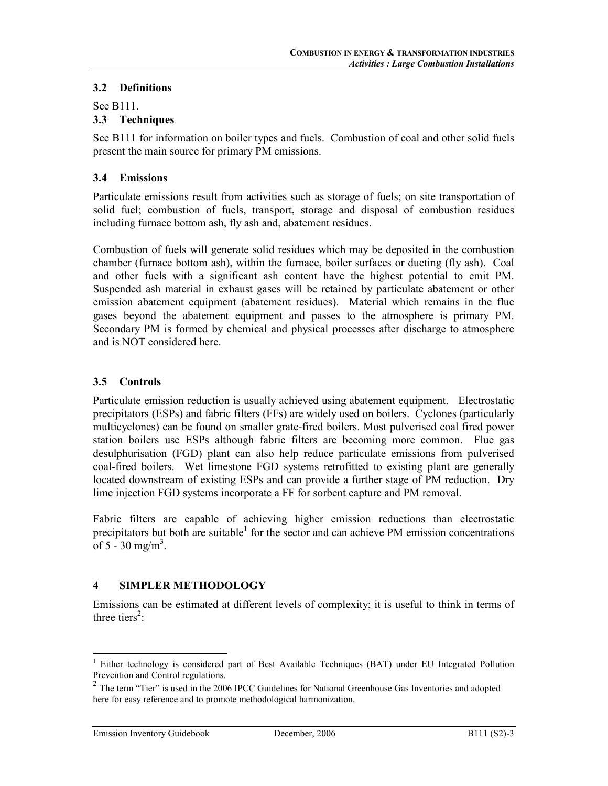## 3.2 Definitions

#### See B111. 3.3 Techniques

See B111 for information on boiler types and fuels. Combustion of coal and other solid fuels present the main source for primary PM emissions.

# 3.4 Emissions

Particulate emissions result from activities such as storage of fuels; on site transportation of solid fuel; combustion of fuels, transport, storage and disposal of combustion residues including furnace bottom ash, fly ash and, abatement residues.

Combustion of fuels will generate solid residues which may be deposited in the combustion chamber (furnace bottom ash), within the furnace, boiler surfaces or ducting (fly ash). Coal and other fuels with a significant ash content have the highest potential to emit PM. Suspended ash material in exhaust gases will be retained by particulate abatement or other emission abatement equipment (abatement residues). Material which remains in the flue gases beyond the abatement equipment and passes to the atmosphere is primary PM. Secondary PM is formed by chemical and physical processes after discharge to atmosphere and is NOT considered here.

# 3.5 Controls

Particulate emission reduction is usually achieved using abatement equipment. Electrostatic precipitators (ESPs) and fabric filters (FFs) are widely used on boilers. Cyclones (particularly multicyclones) can be found on smaller grate-fired boilers. Most pulverised coal fired power station boilers use ESPs although fabric filters are becoming more common. Flue gas desulphurisation (FGD) plant can also help reduce particulate emissions from pulverised coal-fired boilers. Wet limestone FGD systems retrofitted to existing plant are generally located downstream of existing ESPs and can provide a further stage of PM reduction. Dry lime injection FGD systems incorporate a FF for sorbent capture and PM removal.

Fabric filters are capable of achieving higher emission reductions than electrostatic precipitators but both are suitable<sup>1</sup> for the sector and can achieve PM emission concentrations of 5 - 30 mg/m<sup>3</sup>.

## 4 SIMPLER METHODOLOGY

Emissions can be estimated at different levels of complexity; it is useful to think in terms of three tiers<sup>2</sup>:

 1 Either technology is considered part of Best Available Techniques (BAT) under EU Integrated Pollution Prevention and Control regulations.

<sup>&</sup>lt;sup>2</sup> The term "Tier" is used in the 2006 IPCC Guidelines for National Greenhouse Gas Inventories and adopted here for easy reference and to promote methodological harmonization.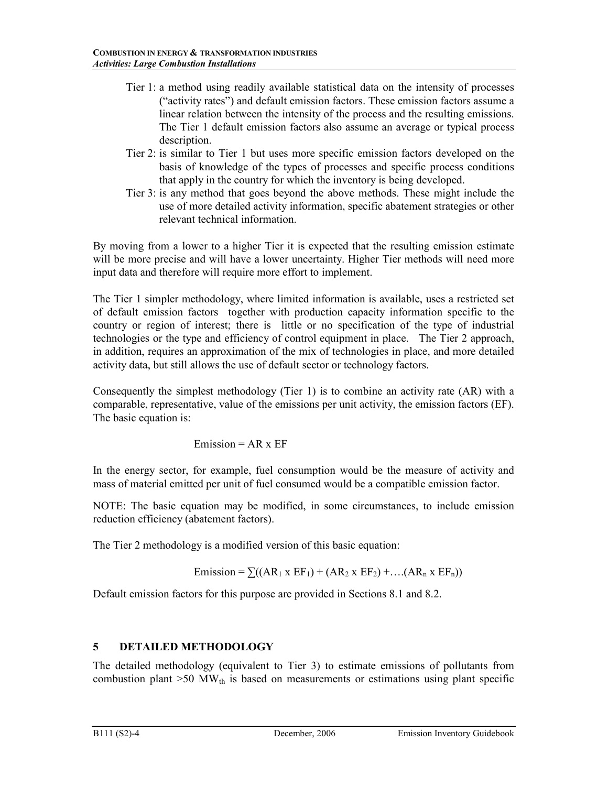- Tier 1: a method using readily available statistical data on the intensity of processes ("activity rates") and default emission factors. These emission factors assume a linear relation between the intensity of the process and the resulting emissions. The Tier 1 default emission factors also assume an average or typical process description.
- Tier 2: is similar to Tier 1 but uses more specific emission factors developed on the basis of knowledge of the types of processes and specific process conditions that apply in the country for which the inventory is being developed.
- Tier 3: is any method that goes beyond the above methods. These might include the use of more detailed activity information, specific abatement strategies or other relevant technical information.

By moving from a lower to a higher Tier it is expected that the resulting emission estimate will be more precise and will have a lower uncertainty. Higher Tier methods will need more input data and therefore will require more effort to implement.

The Tier 1 simpler methodology, where limited information is available, uses a restricted set of default emission factors together with production capacity information specific to the country or region of interest; there is little or no specification of the type of industrial technologies or the type and efficiency of control equipment in place. The Tier 2 approach, in addition, requires an approximation of the mix of technologies in place, and more detailed activity data, but still allows the use of default sector or technology factors.

Consequently the simplest methodology (Tier 1) is to combine an activity rate (AR) with a comparable, representative, value of the emissions per unit activity, the emission factors (EF). The basic equation is:

Emission =  $AR \times EF$ 

In the energy sector, for example, fuel consumption would be the measure of activity and mass of material emitted per unit of fuel consumed would be a compatible emission factor.

NOTE: The basic equation may be modified, in some circumstances, to include emission reduction efficiency (abatement factors).

The Tier 2 methodology is a modified version of this basic equation:

Emission =  $\sum((AR_1 \times EF_1) + (AR_2 \times EF_2) + \dots (AR_n \times EF_n))$ 

Default emission factors for this purpose are provided in Sections 8.1 and 8.2.

# 5 DETAILED METHODOLOGY

The detailed methodology (equivalent to Tier 3) to estimate emissions of pollutants from combustion plant  $>50$  MW<sub>th</sub> is based on measurements or estimations using plant specific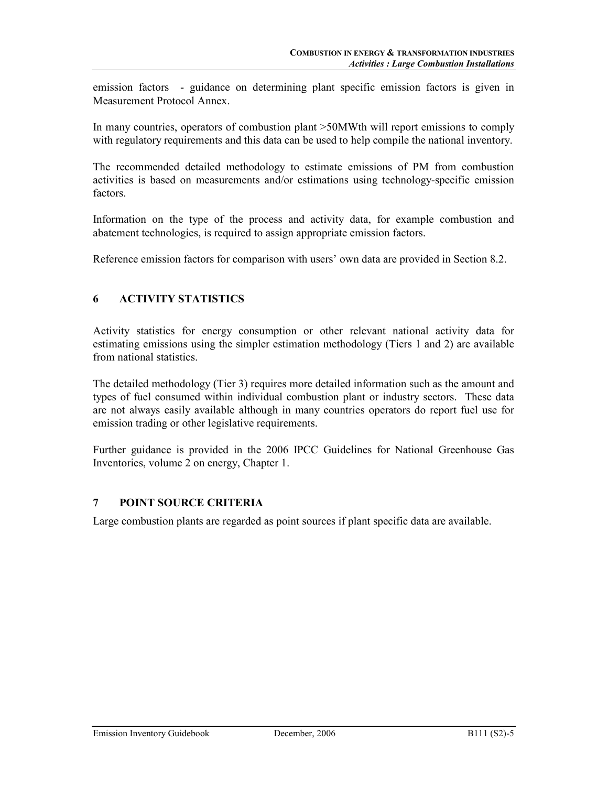emission factors - guidance on determining plant specific emission factors is given in Measurement Protocol Annex.

In many countries, operators of combustion plant >50MWth will report emissions to comply with regulatory requirements and this data can be used to help compile the national inventory.

The recommended detailed methodology to estimate emissions of PM from combustion activities is based on measurements and/or estimations using technology-specific emission factors.

Information on the type of the process and activity data, for example combustion and abatement technologies, is required to assign appropriate emission factors.

Reference emission factors for comparison with users' own data are provided in Section 8.2.

# 6 ACTIVITY STATISTICS

Activity statistics for energy consumption or other relevant national activity data for estimating emissions using the simpler estimation methodology (Tiers 1 and 2) are available from national statistics.

The detailed methodology (Tier 3) requires more detailed information such as the amount and types of fuel consumed within individual combustion plant or industry sectors. These data are not always easily available although in many countries operators do report fuel use for emission trading or other legislative requirements.

Further guidance is provided in the 2006 IPCC Guidelines for National Greenhouse Gas Inventories, volume 2 on energy, Chapter 1.

## 7 POINT SOURCE CRITERIA

Large combustion plants are regarded as point sources if plant specific data are available.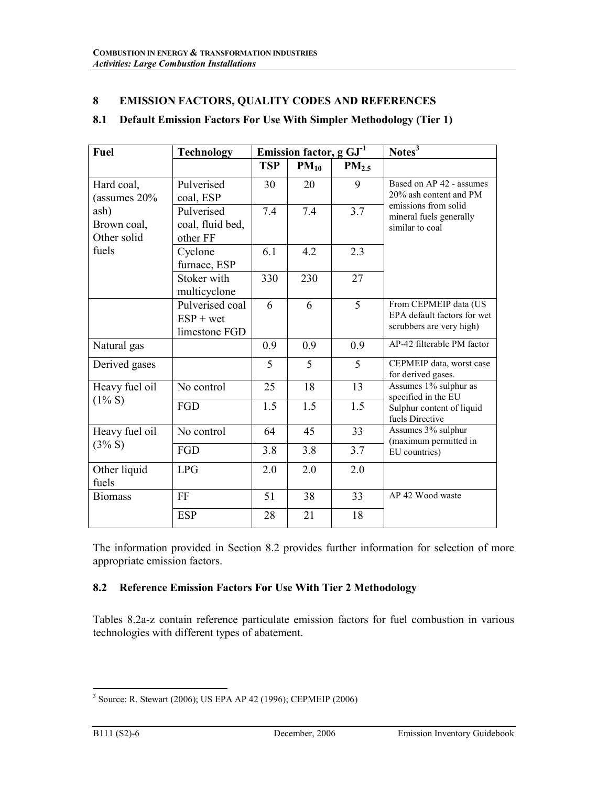# 8 EMISSION FACTORS, QUALITY CODES AND REFERENCES

## 8.1 Default Emission Factors For Use With Simpler Methodology (Tier 1)

| <b>Fuel</b>                        | <b>Technology</b>                               |            | Emission factor, $g GJ-1$ |                   | Notes $\overline{3}$                                                             |  |  |
|------------------------------------|-------------------------------------------------|------------|---------------------------|-------------------|----------------------------------------------------------------------------------|--|--|
|                                    |                                                 | <b>TSP</b> | $PM_{10}$                 | PM <sub>2.5</sub> |                                                                                  |  |  |
| Hard coal,<br>(assumes 20%         | Pulverised<br>coal, ESP                         | 30         | 20                        | 9                 | Based on AP 42 - assumes<br>20% ash content and PM                               |  |  |
| ash)<br>Brown coal,<br>Other solid | Pulverised<br>coal, fluid bed,<br>other FF      | 7.4        | 7.4                       | 3.7               | emissions from solid<br>mineral fuels generally<br>similar to coal               |  |  |
| fuels                              | Cyclone<br>furnace, ESP                         | 6.1        | 4.2                       | 2.3               |                                                                                  |  |  |
|                                    | Stoker with<br>multicyclone                     | 330        | 230                       | 27                |                                                                                  |  |  |
|                                    | Pulverised coal<br>$ESP + wet$<br>limestone FGD | 6          | 6                         | 5                 | From CEPMEIP data (US<br>EPA default factors for wet<br>scrubbers are very high) |  |  |
| Natural gas                        |                                                 | 0.9        | 0.9                       | 0.9               | AP-42 filterable PM factor                                                       |  |  |
| Derived gases                      |                                                 | 5          | 5                         | 5                 | CEPMEIP data, worst case<br>for derived gases.                                   |  |  |
| Heavy fuel oil                     | No control                                      | 25         | 18                        | 13                | Assumes 1% sulphur as<br>specified in the EU                                     |  |  |
| $(1\% S)$                          | FGD                                             | 1.5        | 1.5                       | 1.5               | Sulphur content of liquid<br>fuels Directive                                     |  |  |
| Heavy fuel oil                     | No control                                      | 64         | 45                        | 33                | Assumes 3% sulphur<br>(maximum permitted in                                      |  |  |
| $(3\% S)$                          | FGD                                             | 3.8        | 3.8                       | 3.7               | EU countries)                                                                    |  |  |
| Other liquid<br>fuels              | <b>LPG</b>                                      | 2.0        | 2.0                       | 2.0               |                                                                                  |  |  |
| <b>Biomass</b>                     | FF                                              | 51         | 38                        | 33                | AP 42 Wood waste                                                                 |  |  |
|                                    | <b>ESP</b>                                      | 28         | 21                        | 18                |                                                                                  |  |  |

The information provided in Section 8.2 provides further information for selection of more appropriate emission factors.

## 8.2 Reference Emission Factors For Use With Tier 2 Methodology

Tables 8.2a-z contain reference particulate emission factors for fuel combustion in various technologies with different types of abatement.

 3 Source: R. Stewart (2006); US EPA AP 42 (1996); CEPMEIP (2006)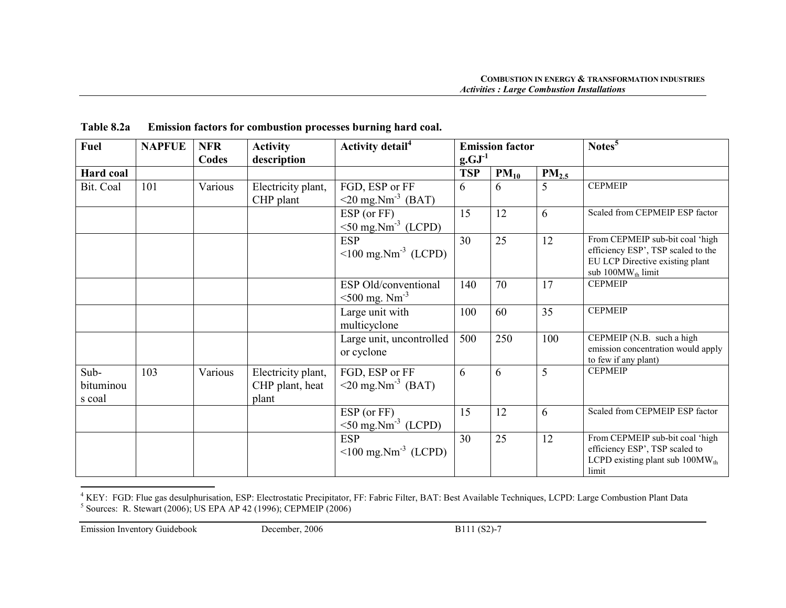| Scaled from CEPMEIP ESP factor                                        |
|-----------------------------------------------------------------------|
|                                                                       |
| From CEPMEIP sub-bit coal 'high                                       |
| efficiency ESP', TSP scaled to the<br>EU LCP Directive existing plant |
| sub $100MW_{th}$ limit                                                |
|                                                                       |
|                                                                       |
|                                                                       |
|                                                                       |
| CEPMEIP (N.B. such a high                                             |
| emission concentration would apply<br>to few if any plant)            |
|                                                                       |
|                                                                       |
|                                                                       |
| Scaled from CEPMEIP ESP factor                                        |
|                                                                       |
| From CEPMEIP sub-bit coal 'high                                       |
| efficiency ESP', TSP scaled to                                        |
| LCPD existing plant sub $100MW_{th}$                                  |
|                                                                       |

Table 8.2a Emission factors for combustion processes burning hard coal.

<sup>&</sup>lt;sup>4</sup> KEY: FGD: Flue gas desulphurisation, ESP: Electrostatic Precipitator, FF: Fabric Filter, BAT: Best Available Techniques, LCPD: Large Combustion Plant Data  $^5$  Sources: R. Stewart (2006); US EPA AP 42 (1996); CEPMEIP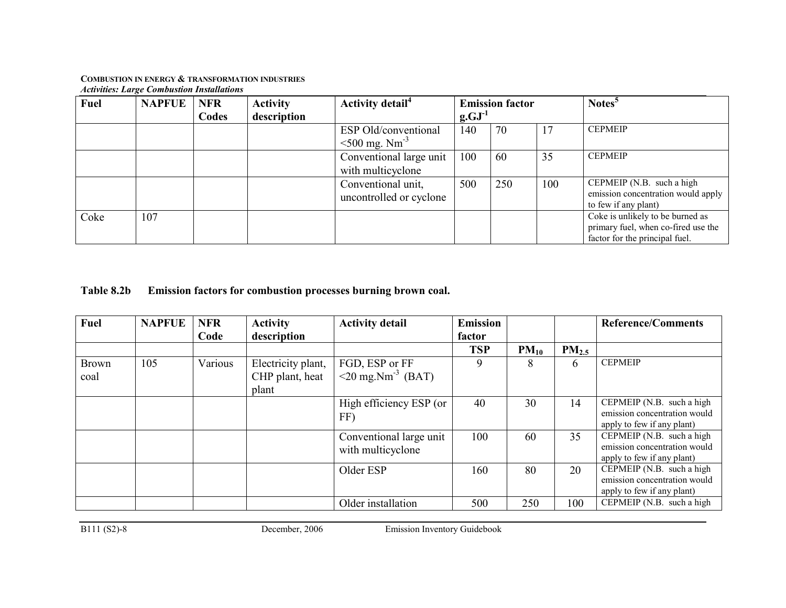| <b>Fuel</b> | <b>NAPFUE</b> | <b>NFR</b> | <b>Activity</b> | <b>Activity detail</b> <sup>4</sup>                     |             | <b>Emission factor</b> |     | Notes <sup>5</sup>                                                                                        |
|-------------|---------------|------------|-----------------|---------------------------------------------------------|-------------|------------------------|-----|-----------------------------------------------------------------------------------------------------------|
|             |               | Codes      | description     |                                                         | $g.GJ^{-1}$ |                        |     |                                                                                                           |
|             |               |            |                 | ESP Old/conventional<br>$\leq 500$ mg. Nm <sup>-3</sup> | 140         | 70                     | 17  | <b>CEPMEIP</b>                                                                                            |
|             |               |            |                 | Conventional large unit<br>with multicyclone            | 100         | 60                     | 35  | <b>CEPMEIP</b>                                                                                            |
|             |               |            |                 | Conventional unit,<br>uncontrolled or cyclone           | 500         | 250                    | 100 | CEPMEIP (N.B. such a high<br>emission concentration would apply<br>to few if any plant)                   |
| Coke        | 107           |            |                 |                                                         |             |                        |     | Coke is unlikely to be burned as<br>primary fuel, when co-fired use the<br>factor for the principal fuel. |

Table 8.2b Emission factors for combustion processes burning brown coal.

| Fuel                 | <b>NAPFUE</b> | <b>NFR</b><br>Code | <b>Activity</b><br>description                 | <b>Activity detail</b>                                | <b>Emission</b><br>factor |           |            | <b>Reference/Comments</b>                                                               |
|----------------------|---------------|--------------------|------------------------------------------------|-------------------------------------------------------|---------------------------|-----------|------------|-----------------------------------------------------------------------------------------|
|                      |               |                    |                                                |                                                       | <b>TSP</b>                | $PM_{10}$ | $PM_{2.5}$ |                                                                                         |
| <b>Brown</b><br>coal | 105           | Various            | Electricity plant,<br>CHP plant, heat<br>plant | FGD, ESP or FF<br>$\leq$ 20 mg.Nm <sup>-3</sup> (BAT) | 9                         | 8         | 6          | <b>CEPMEIP</b>                                                                          |
|                      |               |                    |                                                | High efficiency ESP (or<br>FF)                        | 40                        | 30        | 14         | CEPMEIP (N.B. such a high<br>emission concentration would<br>apply to few if any plant) |
|                      |               |                    |                                                | Conventional large unit<br>with multicyclone          | 100                       | 60        | 35         | CEPMEIP (N.B. such a high<br>emission concentration would<br>apply to few if any plant) |
|                      |               |                    |                                                | Older ESP                                             | 160                       | 80        | 20         | CEPMEIP (N.B. such a high<br>emission concentration would<br>apply to few if any plant) |
|                      |               |                    |                                                | Older installation                                    | 500                       | 250       | 100        | CEPMEIP $(N.B. such a high$                                                             |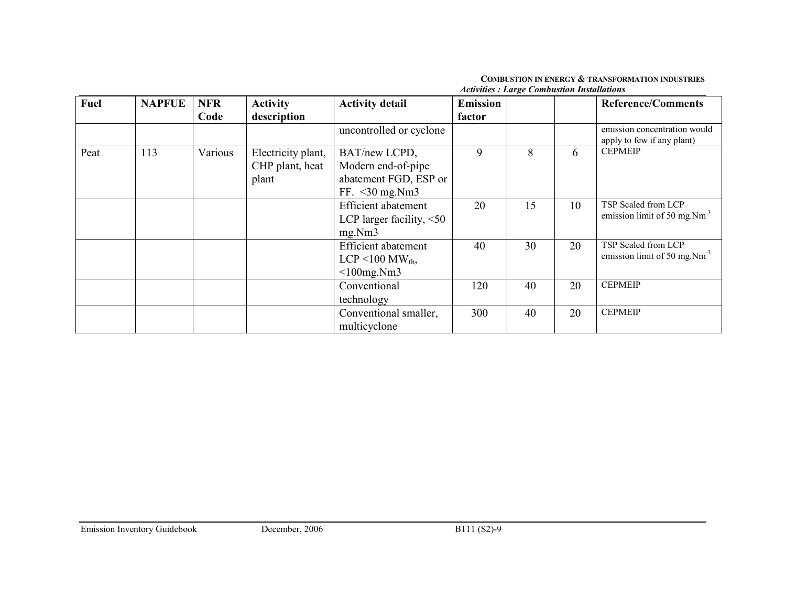| <b>Fuel</b> | <b>NAPFUE</b> | <b>NFR</b> | <b>Activity</b>                                | <b>Activity detail</b>                                                            | <b>Emission</b> |    |    | <b>Reference/Comments</b>                                  |
|-------------|---------------|------------|------------------------------------------------|-----------------------------------------------------------------------------------|-----------------|----|----|------------------------------------------------------------|
|             |               | Code       | description                                    |                                                                                   | factor          |    |    |                                                            |
|             |               |            |                                                | uncontrolled or cyclone                                                           |                 |    |    | emission concentration would<br>apply to few if any plant) |
| Peat        | 113           | Various    | Electricity plant,<br>CHP plant, heat<br>plant | BAT/new LCPD,<br>Modern end-of-pipe<br>abatement FGD, ESP or<br>FF. $<$ 30 mg.Nm3 | 9               | 8  | 6  | <b>CEPMEIP</b>                                             |
|             |               |            |                                                | <b>Efficient</b> abatement<br>LCP larger facility, $\leq 50$<br>mg.Nm3            | 20              | 15 | 10 | TSP Scaled from LCP<br>emission limit of 50 mg. $Nm^{-3}$  |
|             |               |            |                                                | <b>Efficient</b> abatement<br>LCP <100 MW <sub>th</sub> ,<br>$<$ 100mg.Nm3        | 40              | 30 | 20 | TSP Scaled from LCP<br>emission limit of 50 mg. $Nm^{-3}$  |
|             |               |            |                                                | Conventional<br>technology                                                        | 120             | 40 | 20 | <b>CEPMEIP</b>                                             |
|             |               |            |                                                | Conventional smaller,<br>multicyclone                                             | 300             | 40 | 20 | <b>CEPMEIP</b>                                             |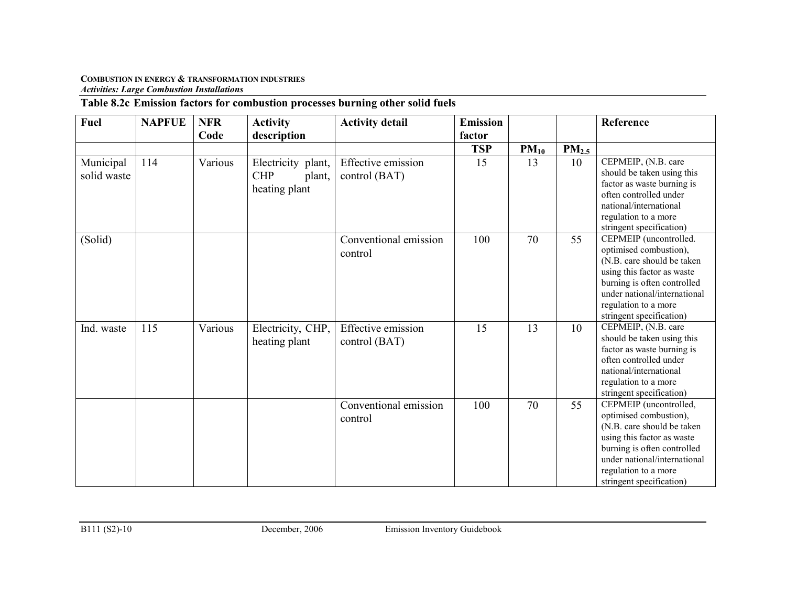# Table 8.2c Emission factors for combustion processes burning other solid fuels

| <b>Fuel</b>              | <b>NAPFUE</b> | <b>NFR</b><br>Code | <b>Activity</b><br>description                              | <b>Activity detail</b>                     | <b>Emission</b><br>factor |           |                   | Reference                                                                                                                                                                                                                       |
|--------------------------|---------------|--------------------|-------------------------------------------------------------|--------------------------------------------|---------------------------|-----------|-------------------|---------------------------------------------------------------------------------------------------------------------------------------------------------------------------------------------------------------------------------|
|                          |               |                    |                                                             |                                            | <b>TSP</b>                | $PM_{10}$ | PM <sub>2.5</sub> |                                                                                                                                                                                                                                 |
| Municipal<br>solid waste | 114           | Various            | Electricity plant,<br><b>CHP</b><br>plant,<br>heating plant | Effective emission<br>control (BAT)        | 15                        | 13        | 10                | CEPMEIP, (N.B. care<br>should be taken using this<br>factor as waste burning is<br>often controlled under<br>national/international<br>regulation to a more<br>stringent specification)                                         |
| (Solid)                  |               |                    |                                                             | Conventional emission<br>control           | 100                       | 70        | 55                | CEPMEIP (uncontrolled.<br>optimised combustion),<br>(N.B. care should be taken<br>using this factor as waste<br>burning is often controlled<br>under national/international<br>regulation to a more<br>stringent specification) |
| Ind. waste               | 115           | Various            | Electricity, CHP,<br>heating plant                          | <b>Effective emission</b><br>control (BAT) | 15                        | 13        | 10                | CEPMEIP, (N.B. care<br>should be taken using this<br>factor as waste burning is<br>often controlled under<br>national/international<br>regulation to a more<br>stringent specification)                                         |
|                          |               |                    |                                                             | Conventional emission<br>control           | 100                       | 70        | 55                | CEPMEIP (uncontrolled,<br>optimised combustion),<br>(N.B. care should be taken<br>using this factor as waste<br>burning is often controlled<br>under national/international<br>regulation to a more<br>stringent specification) |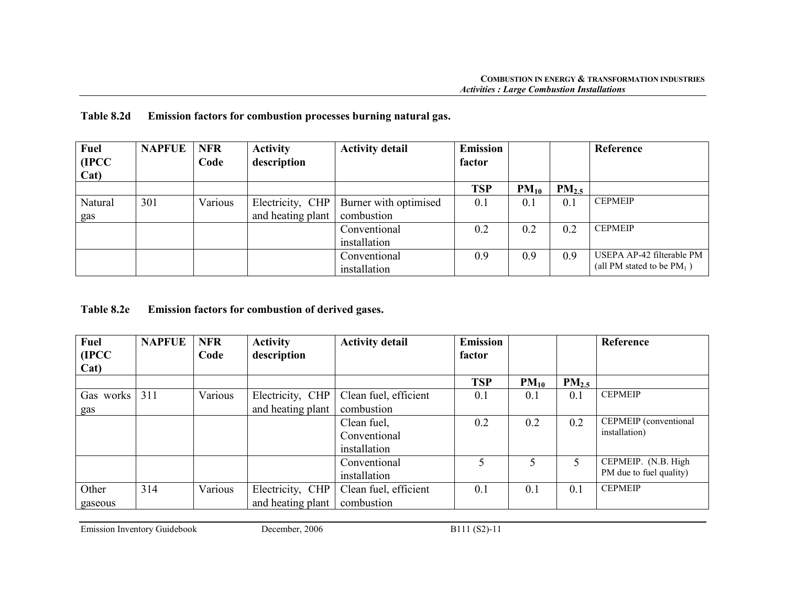| <b>Table 8.2d</b> | Emission factors for combustion processes burning natural gas. |  |  |
|-------------------|----------------------------------------------------------------|--|--|
|                   |                                                                |  |  |

| <b>Fuel</b> | <b>NAPFUE</b> | <b>NFR</b> | <b>Activity</b>   | <b>Activity detail</b> | <b>Emission</b> |           |            | Reference                     |
|-------------|---------------|------------|-------------------|------------------------|-----------------|-----------|------------|-------------------------------|
| (IPCC)      |               | Code       | description       |                        | factor          |           |            |                               |
| Cat)        |               |            |                   |                        |                 |           |            |                               |
|             |               |            |                   |                        | <b>TSP</b>      | $PM_{10}$ | $PM_{2.5}$ |                               |
| Natural     | 301           | Various    | Electricity, CHP  | Burner with optimised  | 0.1             | 0.1       | 0.1        | <b>CEPMEIP</b>                |
| gas         |               |            | and heating plant | combustion             |                 |           |            |                               |
|             |               |            |                   | Conventional           | 0.2             | 0.2       | 0.2        | <b>CEPMEIP</b>                |
|             |               |            |                   | installation           |                 |           |            |                               |
|             |               |            |                   | Conventional           | 0.9             | 0.9       | 0.9        | USEPA AP-42 filterable PM     |
|             |               |            |                   | installation           |                 |           |            | (all PM stated to be $PM_1$ ) |

| <b>Fuel</b> | <b>NAPFUE</b> | <b>NFR</b> | <b>Activity</b>   | <b>Activity detail</b> | <b>Emission</b> |           |            | Reference               |
|-------------|---------------|------------|-------------------|------------------------|-----------------|-----------|------------|-------------------------|
| (IPCC)      |               | Code       | description       |                        | factor          |           |            |                         |
| Cat)        |               |            |                   |                        |                 |           |            |                         |
|             |               |            |                   |                        | <b>TSP</b>      | $PM_{10}$ | $PM_{2.5}$ |                         |
| Gas works   | 311           | Various    | Electricity, CHP  | Clean fuel, efficient  | 0.1             | 0.1       | 0.1        | <b>CEPMEIP</b>          |
| gas         |               |            | and heating plant | combustion             |                 |           |            |                         |
|             |               |            |                   | Clean fuel,            | 0.2             | 0.2       | 0.2        | CEPMEIP (conventional   |
|             |               |            |                   | Conventional           |                 |           |            | installation)           |
|             |               |            |                   | installation           |                 |           |            |                         |
|             |               |            |                   | Conventional           | 5               | 5         |            | CEPMEIP. (N.B. High     |
|             |               |            |                   | installation           |                 |           |            | PM due to fuel quality) |
| Other       | 314           | Various    | Electricity, CHP  | Clean fuel, efficient  | 0.1             | 0.1       | 0.1        | <b>CEPMEIP</b>          |
| gaseous     |               |            | and heating plant | combustion             |                 |           |            |                         |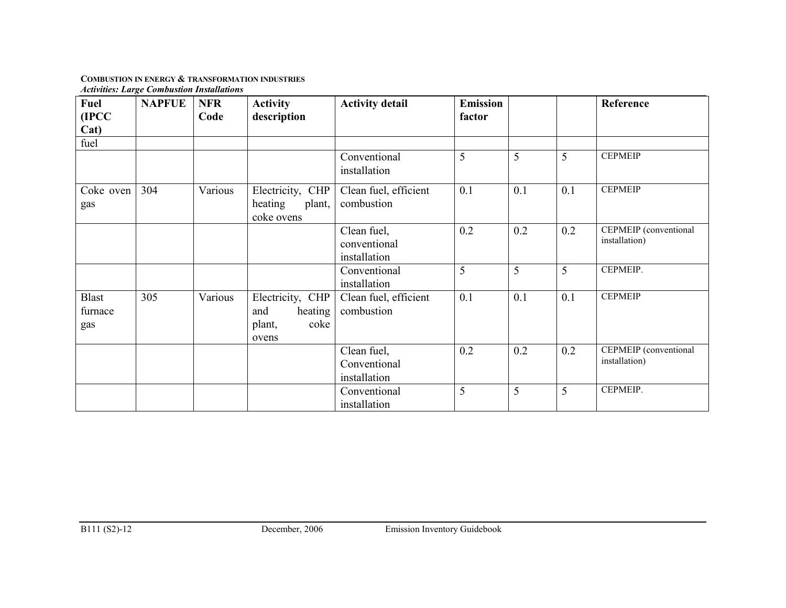| Fuel<br>(IPCC)          | <b>NAPFUE</b> | <b>NFR</b><br>Code | <b>Activity</b><br>description                                | <b>Activity detail</b>                      | <b>Emission</b><br>factor |     |     | Reference                              |
|-------------------------|---------------|--------------------|---------------------------------------------------------------|---------------------------------------------|---------------------------|-----|-----|----------------------------------------|
| Cat)                    |               |                    |                                                               |                                             |                           |     |     |                                        |
| fuel                    |               |                    |                                                               |                                             |                           |     |     |                                        |
|                         |               |                    |                                                               | Conventional<br>installation                | 5                         | 5   | 5   | <b>CEPMEIP</b>                         |
| Coke oven<br>gas        | 304           | Various            | Electricity, CHP<br>heating<br>plant,<br>coke ovens           | Clean fuel, efficient<br>combustion         | 0.1                       | 0.1 | 0.1 | <b>CEPMEIP</b>                         |
|                         |               |                    |                                                               | Clean fuel,<br>conventional<br>installation | 0.2                       | 0.2 | 0.2 | CEPMEIP (conventional<br>installation) |
|                         |               |                    |                                                               | Conventional<br>installation                | 5                         | 5   | 5   | CEPMEIP.                               |
| Blast<br>furnace<br>gas | 305           | Various            | Electricity, CHP<br>and<br>heating<br>plant,<br>coke<br>ovens | Clean fuel, efficient<br>combustion         | 0.1                       | 0.1 | 0.1 | <b>CEPMEIP</b>                         |
|                         |               |                    |                                                               | Clean fuel,<br>Conventional<br>installation | 0.2                       | 0.2 | 0.2 | CEPMEIP (conventional<br>installation) |
|                         |               |                    |                                                               | Conventional<br>installation                | 5                         | 5   | 5   | CEPMEIP.                               |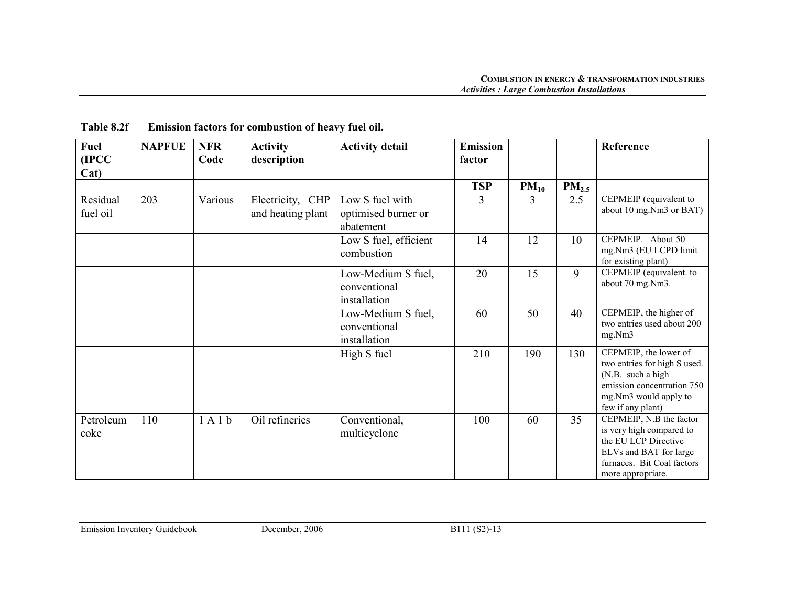| <b>Fuel</b><br>(IPCC) | <b>NAPFUE</b> | <b>NFR</b><br>Code | <b>Activity</b><br>description        | <b>Activity detail</b>                              | <b>Emission</b><br>factor |           |            | Reference                                                                                                                                                |
|-----------------------|---------------|--------------------|---------------------------------------|-----------------------------------------------------|---------------------------|-----------|------------|----------------------------------------------------------------------------------------------------------------------------------------------------------|
| Cat)                  |               |                    |                                       |                                                     |                           |           |            |                                                                                                                                                          |
|                       |               |                    |                                       |                                                     | <b>TSP</b>                | $PM_{10}$ | $PM_{2.5}$ |                                                                                                                                                          |
| Residual<br>fuel oil  | 203           | Various            | Electricity, CHP<br>and heating plant | Low S fuel with<br>optimised burner or<br>abatement | 3                         | 3         | 2.5        | CEPMEIP (equivalent to<br>about 10 mg.Nm3 or BAT)                                                                                                        |
|                       |               |                    |                                       | Low S fuel, efficient<br>combustion                 | 14                        | 12        | 10         | CEPMEIP. About 50<br>mg.Nm3 (EU LCPD limit<br>for existing plant)                                                                                        |
|                       |               |                    |                                       | Low-Medium S fuel,<br>conventional<br>installation  | 20                        | 15        | 9          | CEPMEIP (equivalent. to<br>about 70 mg.Nm3.                                                                                                              |
|                       |               |                    |                                       | Low-Medium S fuel,<br>conventional<br>installation  | 60                        | 50        | 40         | CEPMEIP, the higher of<br>two entries used about 200<br>mg.Nm3                                                                                           |
|                       |               |                    |                                       | High S fuel                                         | 210                       | 190       | 130        | CEPMEIP, the lower of<br>two entries for high S used.<br>(N.B. such a high<br>emission concentration 750<br>mg.Nm3 would apply to<br>few if any plant)   |
| Petroleum<br>coke     | 110           | 1A1b               | Oil refineries                        | Conventional,<br>multicyclone                       | 100                       | 60        | 35         | CEPMEIP, N.B the factor<br>is very high compared to<br>the EU LCP Directive<br>ELVs and BAT for large<br>furnaces. Bit Coal factors<br>more appropriate. |

# Table 8.2f Emission factors for combustion of heavy fuel oil.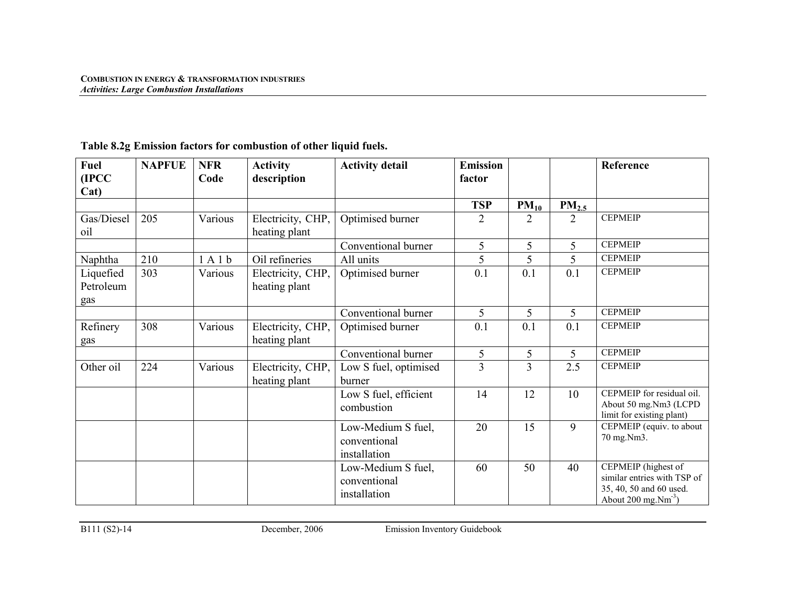| <b>Fuel</b>                   | <b>NAPFUE</b> | <b>NFR</b> | <b>Activity</b>                    | <b>Activity detail</b>                             | <b>Emission</b> |                |                   | Reference                                                                                                                 |
|-------------------------------|---------------|------------|------------------------------------|----------------------------------------------------|-----------------|----------------|-------------------|---------------------------------------------------------------------------------------------------------------------------|
| (IPCC)<br>Cat)                |               | Code       | description                        |                                                    | factor          |                |                   |                                                                                                                           |
|                               |               |            |                                    |                                                    | <b>TSP</b>      | $PM_{10}$      | PM <sub>2.5</sub> |                                                                                                                           |
| Gas/Diesel<br>oil             | 205           | Various    | Electricity, CHP,<br>heating plant | Optimised burner                                   | 2               | $\overline{2}$ | $\overline{2}$    | <b>CEPMEIP</b>                                                                                                            |
|                               |               |            |                                    | Conventional burner                                | 5               | 5              | 5                 | <b>CEPMEIP</b>                                                                                                            |
| Naphtha                       | 210           | 1A1b       | Oil refineries                     | All units                                          | 5               | 5              | 5                 | <b>CEPMEIP</b>                                                                                                            |
| Liquefied<br>Petroleum<br>gas | 303           | Various    | Electricity, CHP,<br>heating plant | Optimised burner                                   | 0.1             | 0.1            | 0.1               | <b>CEPMEIP</b>                                                                                                            |
|                               |               |            |                                    | Conventional burner                                | 5               | 5              | 5                 | <b>CEPMEIP</b>                                                                                                            |
| Refinery<br>gas               | 308           | Various    | Electricity, CHP,<br>heating plant | Optimised burner                                   | 0.1             | 0.1            | 0.1               | <b>CEPMEIP</b>                                                                                                            |
|                               |               |            |                                    | Conventional burner                                | 5               | 5              | 5                 | <b>CEPMEIP</b>                                                                                                            |
| Other oil                     | 224           | Various    | Electricity, CHP,<br>heating plant | Low S fuel, optimised<br>burner                    | 3               | $\overline{3}$ | 2.5               | <b>CEPMEIP</b>                                                                                                            |
|                               |               |            |                                    | Low S fuel, efficient<br>combustion                | 14              | 12             | 10                | CEPMEIP for residual oil.<br>About 50 mg.Nm3 (LCPD<br>limit for existing plant)                                           |
|                               |               |            |                                    | Low-Medium S fuel,<br>conventional<br>installation | 20              | 15             | 9                 | CEPMEIP (equiv. to about<br>70 mg.Nm3.                                                                                    |
|                               |               |            |                                    | Low-Medium S fuel,<br>conventional<br>installation | 60              | 50             | 40                | CEPMEIP (highest of<br>similar entries with TSP of<br>35, 40, 50 and 60 used.<br>About $200 \text{ mg}$ . $\text{Nm}^3$ ) |

# Table 8.2g Emission factors for combustion of other liquid fuels.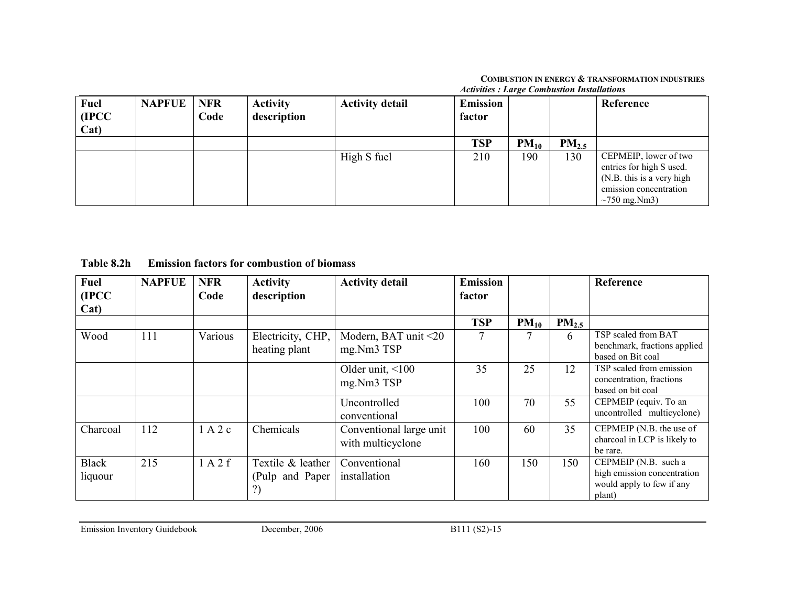|                               |               |                    |                                |                        | <i>Executives</i> : <i>Large</i> Componsion monumento |           |            |                                                                                                                                          |  |  |  |
|-------------------------------|---------------|--------------------|--------------------------------|------------------------|-------------------------------------------------------|-----------|------------|------------------------------------------------------------------------------------------------------------------------------------------|--|--|--|
| <b>Fuel</b><br>(IPCC)<br>Cat) | <b>NAPFUE</b> | <b>NFR</b><br>Code | <b>Activity</b><br>description | <b>Activity detail</b> | Emission<br>factor                                    |           |            | Reference                                                                                                                                |  |  |  |
|                               |               |                    |                                |                        | <b>TSP</b>                                            | $PM_{10}$ | $PM_{2.5}$ |                                                                                                                                          |  |  |  |
|                               |               |                    |                                | High S fuel            | 210                                                   | 190       | 130        | CEPMEIP, lower of two<br>entries for high S used.<br>$\bigcap$ (N.B. this is a very high<br>emission concentration<br>$\sim$ 750 mg.Nm3) |  |  |  |

Table 8.2h Emission factors for combustion of biomass

| <b>Fuel</b><br>(IPCC<br>Cat) | <b>NAPFUE</b> | <b>NFR</b><br>Code | <b>Activity</b><br>description             | <b>Activity detail</b>                       | <b>Emission</b><br>factor |           |                  | Reference                                                                                  |
|------------------------------|---------------|--------------------|--------------------------------------------|----------------------------------------------|---------------------------|-----------|------------------|--------------------------------------------------------------------------------------------|
|                              |               |                    |                                            |                                              | <b>TSP</b>                | $PM_{10}$ | PM <sub>25</sub> |                                                                                            |
| Wood                         | 111           | Various            | Electricity, CHP,<br>heating plant         | Modern, BAT unit <20<br>mg.Nm3 TSP           | 7                         | 7         | 6                | TSP scaled from BAT<br>benchmark, fractions applied<br>based on Bit coal                   |
|                              |               |                    |                                            | Older unit, $\leq 100$<br>mg.Nm3 TSP         | 35                        | 25        | 12               | TSP scaled from emission<br>concentration, fractions<br>based on bit coal                  |
|                              |               |                    |                                            | Uncontrolled<br>conventional                 | 100                       | 70        | 55               | CEPMEIP (equiv. To an<br>uncontrolled multicyclone)                                        |
| Charcoal                     | 112           | 1 A 2 c            | Chemicals                                  | Conventional large unit<br>with multicyclone | 100                       | 60        | 35               | CEPMEIP (N.B. the use of<br>charcoal in LCP is likely to<br>be rare.                       |
| <b>Black</b><br>liquour      | 215           | 1A2f               | Textile & leather<br>(Pulp and Paper)<br>? | Conventional<br>installation                 | 160                       | 150       | 150              | CEPMEIP (N.B. such a<br>high emission concentration<br>would apply to few if any<br>plant) |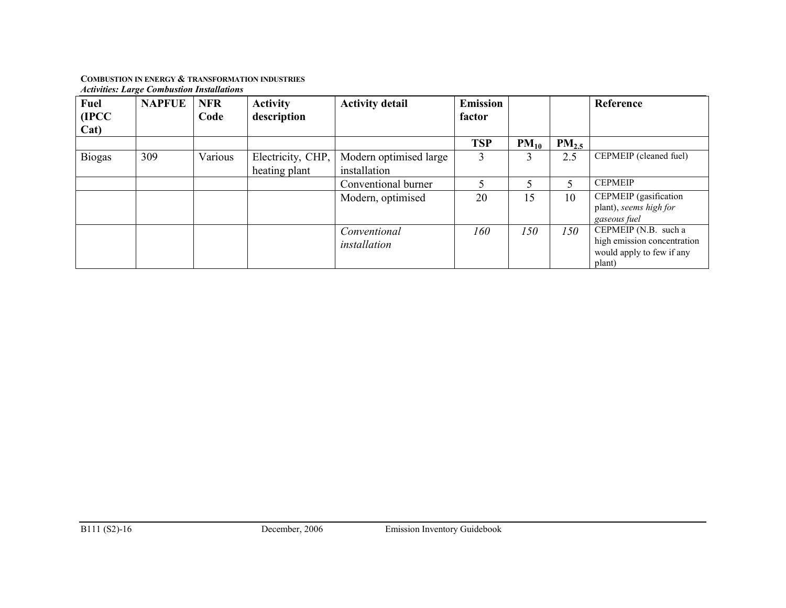| Fuel<br>(IPCC)<br>Cat) | <b>NAPFUE</b> | <b>NFR</b><br>Code | <b>Activity</b><br>description     | <b>Activity detail</b>                 | <b>Emission</b><br>factor |           |                   | Reference                                                                                     |
|------------------------|---------------|--------------------|------------------------------------|----------------------------------------|---------------------------|-----------|-------------------|-----------------------------------------------------------------------------------------------|
|                        |               |                    |                                    |                                        | <b>TSP</b>                | $PM_{10}$ | PM <sub>2.5</sub> |                                                                                               |
| <b>Biogas</b>          | 309           | Various            | Electricity, CHP,<br>heating plant | Modern optimised large<br>installation | 3                         | 3         | 2.5               | CEPMEIP (cleaned fuel)                                                                        |
|                        |               |                    |                                    | Conventional burner                    |                           |           | 5                 | <b>CEPMEIP</b>                                                                                |
|                        |               |                    |                                    | Modern, optimised                      | 20                        | 15        | 10                | CEPMEIP (gasification<br>plant), seems high for<br>gaseous fuel                               |
|                        |               |                    |                                    | Conventional<br>installation           | 160                       | 150       | 150               | CEPMEIP $(N.B. such a)$<br>high emission concentration<br>would apply to few if any<br>plant) |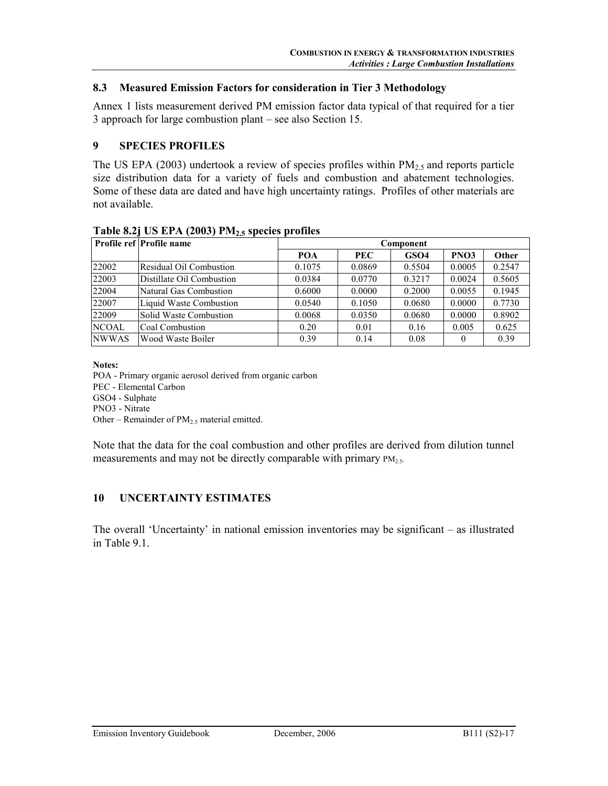#### 8.3 Measured Emission Factors for consideration in Tier 3 Methodology

Annex 1 lists measurement derived PM emission factor data typical of that required for a tier 3 approach for large combustion plant – see also Section 15.

#### 9 SPECIES PROFILES

The US EPA (2003) undertook a review of species profiles within  $PM_{2,5}$  and reports particle size distribution data for a variety of fuels and combustion and abatement technologies. Some of these data are dated and have high uncertainty ratings. Profiles of other materials are not available.

|              | $\cdot$<br><b><i><u><u></u></u></i></b><br><b>Profile ref Profile name</b> | Component  |            |                  |        |        |  |  |  |
|--------------|----------------------------------------------------------------------------|------------|------------|------------------|--------|--------|--|--|--|
|              |                                                                            | <b>POA</b> | <b>PEC</b> | GSO <sub>4</sub> | PNO3   | Other  |  |  |  |
| 22002        | <b>Residual Oil Combustion</b>                                             | 0.1075     | 0.0869     | 0.5504           | 0.0005 | 0.2547 |  |  |  |
| 22003        | Distillate Oil Combustion                                                  | 0.0384     | 0.0770     | 0.3217           | 0.0024 | 0.5605 |  |  |  |
| 22004        | Natural Gas Combustion                                                     | 0.6000     | 0.0000     | 0.2000           | 0.0055 | 0.1945 |  |  |  |
| 22007        | Liquid Waste Combustion                                                    | 0.0540     | 0.1050     | 0.0680           | 0.0000 | 0.7730 |  |  |  |
| 22009        | Solid Waste Combustion                                                     | 0.0068     | 0.0350     | 0.0680           | 0.0000 | 0.8902 |  |  |  |
| <b>NCOAL</b> | Coal Combustion                                                            | 0.20       | 0.01       | 0.16             | 0.005  | 0.625  |  |  |  |
| <b>NWWAS</b> | Wood Waste Boiler                                                          | 0.39       | 0.14       | 0.08             | 0      | 0.39   |  |  |  |

#### Table 8.2i US EPA  $(2003)$  PM<sub>2.5</sub> species profiles

Notes:

POA - Primary organic aerosol derived from organic carbon

PEC - Elemental Carbon

GSO4 - Sulphate

PNO3 - Nitrate

Other – Remainder of  $PM_{2.5}$  material emitted.

Note that the data for the coal combustion and other profiles are derived from dilution tunnel measurements and may not be directly comparable with primary  $PM_{2.5}$ .

## 10 UNCERTAINTY ESTIMATES

The overall 'Uncertainty' in national emission inventories may be significant – as illustrated in Table 9.1.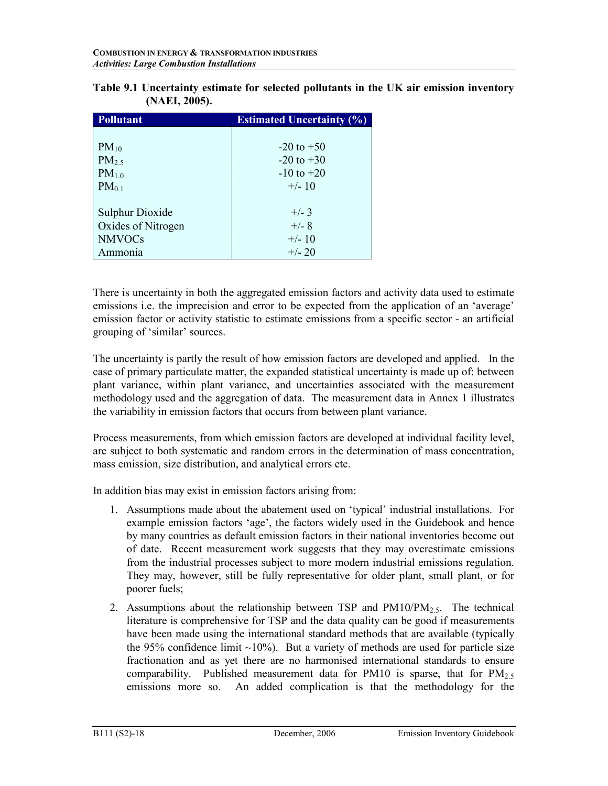| <b>Pollutant</b>       | <b>Estimated Uncertainty (%)</b> |
|------------------------|----------------------------------|
|                        |                                  |
| $PM_{10}$              | $-20$ to $+50$                   |
| $PM_{2.5}$             | $-20$ to $+30$                   |
| $PM_{1.0}$             | $-10$ to $+20$                   |
| $PM_{0.1}$             | $+/- 10$                         |
|                        |                                  |
| <b>Sulphur Dioxide</b> | $+/- 3$                          |
| Oxides of Nitrogen     | $+/- 8$                          |
| <b>NMVOCs</b>          | $+/- 10$                         |
| Ammonia                | $+/- 20$                         |

| Table 9.1 Uncertainty estimate for selected pollutants in the UK air emission inventory |  |  |
|-----------------------------------------------------------------------------------------|--|--|
| (NAEI, 2005).                                                                           |  |  |

There is uncertainty in both the aggregated emission factors and activity data used to estimate emissions i.e. the imprecision and error to be expected from the application of an 'average' emission factor or activity statistic to estimate emissions from a specific sector - an artificial grouping of 'similar' sources.

The uncertainty is partly the result of how emission factors are developed and applied. In the case of primary particulate matter, the expanded statistical uncertainty is made up of: between plant variance, within plant variance, and uncertainties associated with the measurement methodology used and the aggregation of data. The measurement data in Annex 1 illustrates the variability in emission factors that occurs from between plant variance.

Process measurements, from which emission factors are developed at individual facility level, are subject to both systematic and random errors in the determination of mass concentration, mass emission, size distribution, and analytical errors etc.

In addition bias may exist in emission factors arising from:

- 1. Assumptions made about the abatement used on 'typical' industrial installations. For example emission factors 'age', the factors widely used in the Guidebook and hence by many countries as default emission factors in their national inventories become out of date. Recent measurement work suggests that they may overestimate emissions from the industrial processes subject to more modern industrial emissions regulation. They may, however, still be fully representative for older plant, small plant, or for poorer fuels;
- 2. Assumptions about the relationship between TSP and  $PM10/PM_{2.5}$ . The technical literature is comprehensive for TSP and the data quality can be good if measurements have been made using the international standard methods that are available (typically the 95% confidence limit  $\sim$ 10%). But a variety of methods are used for particle size fractionation and as yet there are no harmonised international standards to ensure comparability. Published measurement data for PM10 is sparse, that for  $PM_{2.5}$ emissions more so. An added complication is that the methodology for the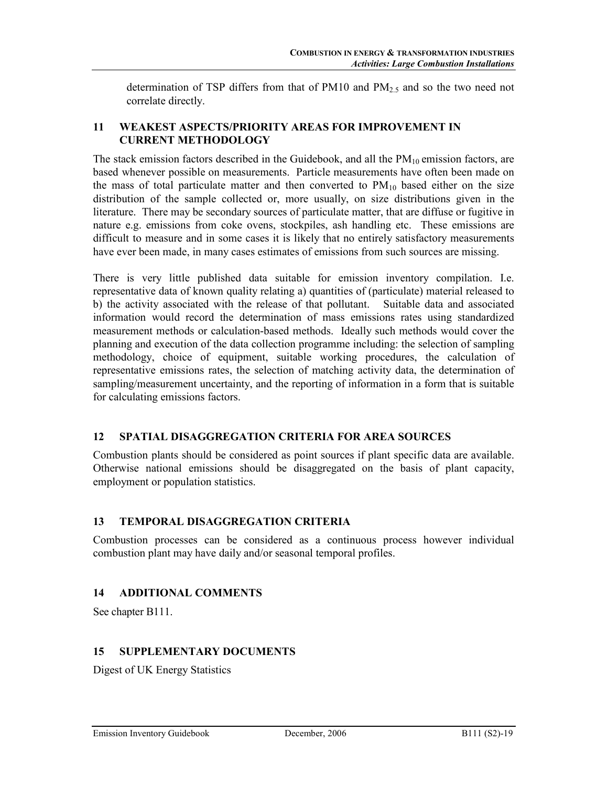determination of TSP differs from that of PM10 and  $PM_{2.5}$  and so the two need not correlate directly.

# 11 WEAKEST ASPECTS/PRIORITY AREAS FOR IMPROVEMENT IN CURRENT METHODOLOGY

The stack emission factors described in the Guidebook, and all the  $PM_{10}$  emission factors, are based whenever possible on measurements. Particle measurements have often been made on the mass of total particulate matter and then converted to  $PM_{10}$  based either on the size distribution of the sample collected or, more usually, on size distributions given in the literature. There may be secondary sources of particulate matter, that are diffuse or fugitive in nature e.g. emissions from coke ovens, stockpiles, ash handling etc. These emissions are difficult to measure and in some cases it is likely that no entirely satisfactory measurements have ever been made, in many cases estimates of emissions from such sources are missing.

There is very little published data suitable for emission inventory compilation. I.e. representative data of known quality relating a) quantities of (particulate) material released to b) the activity associated with the release of that pollutant. Suitable data and associated information would record the determination of mass emissions rates using standardized measurement methods or calculation-based methods. Ideally such methods would cover the planning and execution of the data collection programme including: the selection of sampling methodology, choice of equipment, suitable working procedures, the calculation of representative emissions rates, the selection of matching activity data, the determination of sampling/measurement uncertainty, and the reporting of information in a form that is suitable for calculating emissions factors.

# 12 SPATIAL DISAGGREGATION CRITERIA FOR AREA SOURCES

Combustion plants should be considered as point sources if plant specific data are available. Otherwise national emissions should be disaggregated on the basis of plant capacity, employment or population statistics.

## 13 TEMPORAL DISAGGREGATION CRITERIA

Combustion processes can be considered as a continuous process however individual combustion plant may have daily and/or seasonal temporal profiles.

# 14 ADDITIONAL COMMENTS

See chapter B111.

# 15 SUPPLEMENTARY DOCUMENTS

Digest of UK Energy Statistics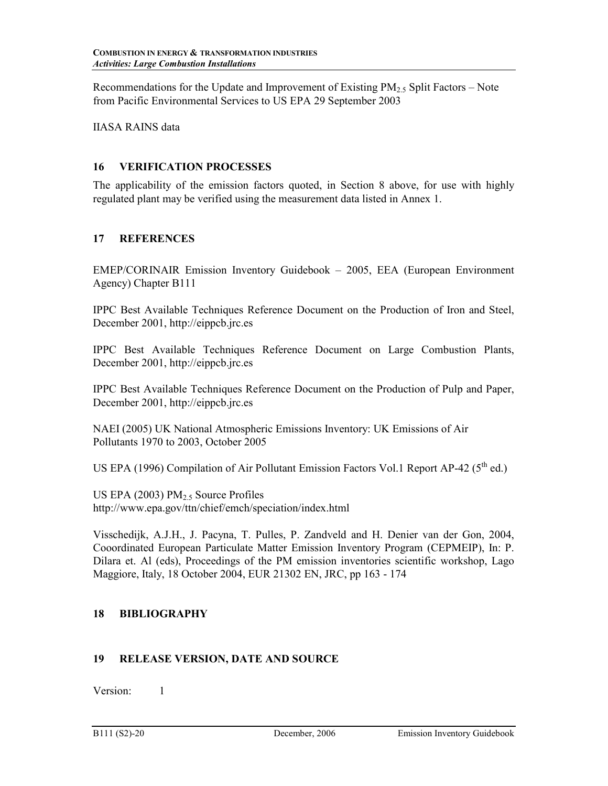Recommendations for the Update and Improvement of Existing  $PM_{2.5}$  Split Factors – Note from Pacific Environmental Services to US EPA 29 September 2003

IIASA RAINS data

#### 16 VERIFICATION PROCESSES

The applicability of the emission factors quoted, in Section 8 above, for use with highly regulated plant may be verified using the measurement data listed in Annex 1.

## 17 REFERENCES

EMEP/CORINAIR Emission Inventory Guidebook – 2005, EEA (European Environment Agency) Chapter B111

IPPC Best Available Techniques Reference Document on the Production of Iron and Steel, December 2001, http://eippcb.jrc.es

IPPC Best Available Techniques Reference Document on Large Combustion Plants, December 2001, http://eippcb.jrc.es

IPPC Best Available Techniques Reference Document on the Production of Pulp and Paper, December 2001, http://eippcb.jrc.es

NAEI (2005) UK National Atmospheric Emissions Inventory: UK Emissions of Air Pollutants 1970 to 2003, October 2005

US EPA (1996) Compilation of Air Pollutant Emission Factors Vol.1 Report AP-42 (5<sup>th</sup> ed.)

US EPA (2003)  $PM<sub>2.5</sub>$  Source Profiles http://www.epa.gov/ttn/chief/emch/speciation/index.html

Visschedijk, A.J.H., J. Pacyna, T. Pulles, P. Zandveld and H. Denier van der Gon, 2004, Cooordinated European Particulate Matter Emission Inventory Program (CEPMEIP), In: P. Dilara et. Al (eds), Proceedings of the PM emission inventories scientific workshop, Lago Maggiore, Italy, 18 October 2004, EUR 21302 EN, JRC, pp 163 - 174

## 18 BIBLIOGRAPHY

## 19 RELEASE VERSION, DATE AND SOURCE

Version: 1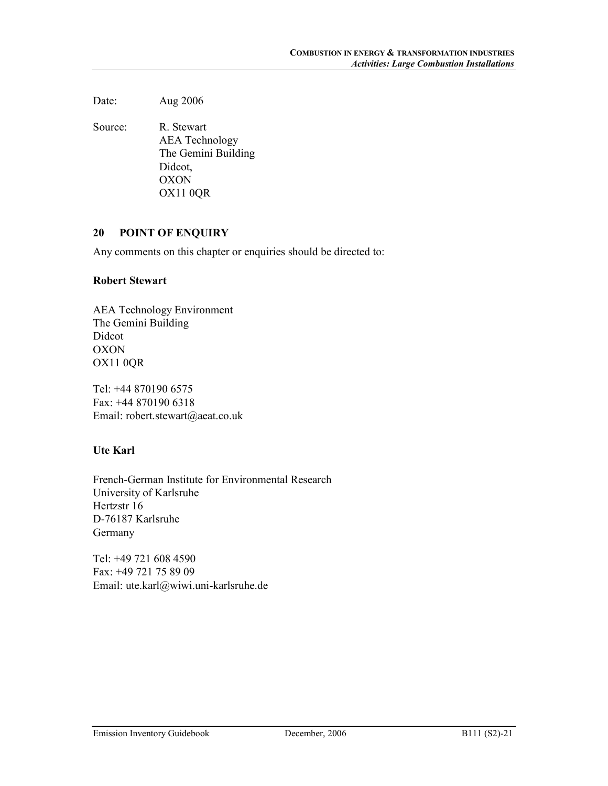Date: Aug 2006

Source: R. Stewart AEA Technology The Gemini Building Didcot, OXON OX11 0QR

#### 20 POINT OF ENQUIRY

Any comments on this chapter or enquiries should be directed to:

#### Robert Stewart

AEA Technology Environment The Gemini Building Didcot OXON OX11 0QR

Tel: +44 870190 6575 Fax: +44 870190 6318 Email: robert.stewart@aeat.co.uk

# Ute Karl

French-German Institute for Environmental Research University of Karlsruhe Hertzstr 16 D-76187 Karlsruhe Germany

Tel: +49 721 608 4590 Fax: +49 721 75 89 09 Email: ute.karl@wiwi.uni-karlsruhe.de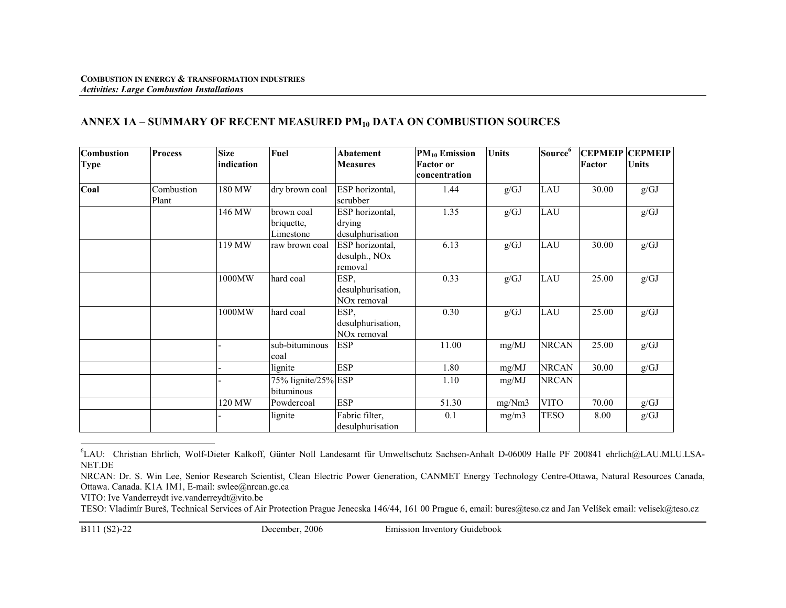# ANNEX 1A – SUMMARY OF RECENT MEASURED PM $_{10}$  DATA ON COMBUSTION SOURCES

| <b>Combustion</b><br><b>Type</b> | <b>Process</b> | <b>Size</b><br>lindication | Fuel                | Abatement<br><b>Measures</b> | $PM_{10}$ Emission<br><b>Factor</b> or | <b>Units</b> | Source <sup>6</sup> | Factor | <b>CEPMEIP CEPMEIP</b><br><b>Units</b> |
|----------------------------------|----------------|----------------------------|---------------------|------------------------------|----------------------------------------|--------------|---------------------|--------|----------------------------------------|
|                                  |                |                            |                     |                              | concentration                          |              |                     |        |                                        |
| Coal                             | Combustion     | 180 MW                     | dry brown coal      | ESP horizontal,              | 1.44                                   | g/GJ         | LAU                 | 30.00  | g/GJ                                   |
|                                  | Plant          |                            |                     | scrubber                     |                                        |              |                     |        |                                        |
|                                  |                | 146 MW                     | brown coal          | ESP horizontal,              | 1.35                                   | g/GJ         | LAU                 |        | g/GJ                                   |
|                                  |                |                            | briquette,          | drying                       |                                        |              |                     |        |                                        |
|                                  |                |                            | Limestone           | desulphurisation             |                                        |              |                     |        |                                        |
|                                  |                | 119 MW                     | raw brown coal      | ESP horizontal,              | 6.13                                   | g/GJ         | LAU                 | 30.00  | g/GJ                                   |
|                                  |                |                            |                     | desulph., NO <sub>x</sub>    |                                        |              |                     |        |                                        |
|                                  |                |                            |                     | removal                      |                                        |              |                     |        |                                        |
|                                  |                | 1000MW                     | hard coal           | ESP,                         | 0.33                                   | g/GJ         | LAU                 | 25.00  | g/GJ                                   |
|                                  |                |                            |                     | desulphurisation,            |                                        |              |                     |        |                                        |
|                                  |                |                            |                     | NO <sub>x</sub> removal      |                                        |              |                     |        |                                        |
|                                  |                | 1000MW                     | hard coal           | ESP,                         | 0.30                                   | g/GJ         | LAU                 | 25.00  | g/GJ                                   |
|                                  |                |                            |                     | desulphurisation,            |                                        |              |                     |        |                                        |
|                                  |                |                            |                     | NO <sub>x</sub> removal      |                                        |              |                     |        |                                        |
|                                  |                |                            | sub-bituminous      | <b>ESP</b>                   | 11.00                                  | mg/MJ        | <b>NRCAN</b>        | 25.00  | g/GJ                                   |
|                                  |                |                            | coal                |                              |                                        |              |                     |        |                                        |
|                                  |                |                            | lignite             | <b>ESP</b>                   | 1.80                                   | mg/MJ        | <b>NRCAN</b>        | 30.00  | g/GJ                                   |
|                                  |                |                            | 75% lignite/25% ESP |                              | 1.10                                   | mg/MJ        | <b>NRCAN</b>        |        |                                        |
|                                  |                |                            | bituminous          |                              |                                        |              |                     |        |                                        |
|                                  |                | 120 MW                     | Powdercoal          | <b>ESP</b>                   | 51.30                                  | mg/Nm3       | <b>VITO</b>         | 70.00  | g/GJ                                   |
|                                  |                |                            | lignite             | Fabric filter,               | 0.1                                    | mg/m3        | TESO                | 8.00   | g/GJ                                   |
|                                  |                |                            |                     | desulphurisation             |                                        |              |                     |        |                                        |

<sup>6</sup>LAU: Christian Ehrlich, Wolf-Dieter Kalkoff, Günter Noll Landesamt für Umweltschutz Sachsen-Anhalt D-06009 Halle PF 200841 ehrlich@LAU.MLU.LSA-NET.DE

VITO: Ive Vanderreydt ive.vanderreydt@vito.be

TESO: Vladimír Bureš, Technical Services of Air Protection Prague Jenecska 146/44, 161 00 Prague 6, email: bures@teso.cz and Jan Velíšek email: velisek@teso.cz

NRCAN: Dr. S. Win Lee, Senior Research Scientist, Clean Electric Power Generation, CANMET Energy Technology Centre-Ottawa, Natural Resources Canada, Ottawa. Canada. K1A 1M1, E-mail: swlee@nrcan.gc.ca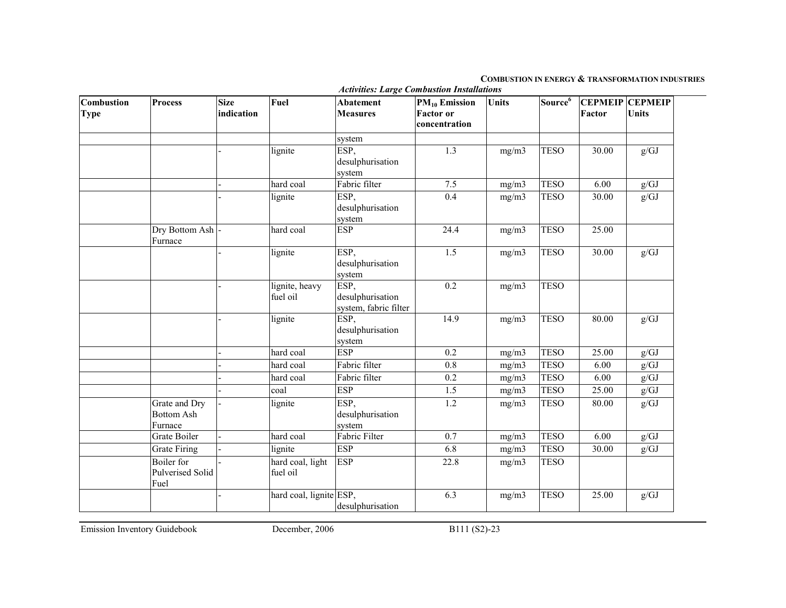#### COMBUSTION IN ENERGY & TRANSFORMATION INDUSTRIES

| Combustion<br><b>Type</b> | <b>Process</b>                                | <b>Size</b><br>indication | Fuel                         | <b>Abatement</b><br><b>Measures</b>               | <b>PM<sub>10</sub></b> Emission<br><b>Factor</b> or<br>concentration | <b>Units</b> | Source <sup>6</sup> | Factor    | <b>CEPMEIP CEPMEIP</b><br><b>Units</b> |
|---------------------------|-----------------------------------------------|---------------------------|------------------------------|---------------------------------------------------|----------------------------------------------------------------------|--------------|---------------------|-----------|----------------------------------------|
|                           |                                               |                           |                              | system                                            |                                                                      |              |                     |           |                                        |
|                           |                                               |                           | lignite                      | ESP,<br>desulphurisation<br>system                | 1.3                                                                  | mg/m3        | <b>TESO</b>         | 30.00     | g/GJ                                   |
|                           |                                               |                           | hard coal                    | Fabric filter                                     | 7.5                                                                  | mg/m3        | <b>TESO</b>         | 6.00      | g/GJ                                   |
|                           |                                               |                           | lignite                      | ESP,<br>desulphurisation<br>system                | 0.4                                                                  | mg/m3        | <b>TESO</b>         | 30.00     | g/GJ                                   |
|                           | Dry Bottom Ash                                |                           | hard coal                    | <b>ESP</b>                                        | 24.4                                                                 | mg/m3        | <b>TESO</b>         | 25.00     |                                        |
|                           | Furnace                                       |                           |                              |                                                   |                                                                      |              |                     |           |                                        |
|                           |                                               |                           | lignite                      | ESP,<br>desulphurisation<br>system                | 1.5                                                                  | mg/m3        | <b>TESO</b>         | 30.00     | g/GJ                                   |
|                           |                                               |                           | lignite, heavy<br>fuel oil   | ESP,<br>desulphurisation<br>system, fabric filter | 0.2                                                                  | mg/m3        | <b>TESO</b>         |           |                                        |
|                           |                                               |                           | lignite                      | ESP,<br>desulphurisation<br>system                | 14.9                                                                 | mg/m3        | <b>TESO</b>         | $80.00\,$ | g/GJ                                   |
|                           |                                               |                           | hard coal                    | <b>ESP</b>                                        | 0.2                                                                  | mg/m3        | <b>TESO</b>         | 25.00     | g/GJ                                   |
|                           |                                               |                           | hard coal                    | Fabric filter                                     | $\overline{0.8}$                                                     | mg/m3        | <b>TESO</b>         | 6.00      | g/GJ                                   |
|                           |                                               |                           | hard coal                    | Fabric filter                                     | 0.2                                                                  | mg/m3        | <b>TESO</b>         | 6.00      | g/GJ                                   |
|                           |                                               |                           | coal                         | <b>ESP</b>                                        | 1.5                                                                  | mg/m3        | <b>TESO</b>         | 25.00     | $g/GJ$                                 |
|                           | Grate and Dry<br><b>Bottom Ash</b><br>Furnace |                           | lignite                      | ESP,<br>desulphurisation<br>system                | 1.2                                                                  | mg/m3        | <b>TESO</b>         | 80.00     | g/GJ                                   |
|                           | Grate Boiler                                  |                           | hard coal                    | Fabric Filter                                     | 0.7                                                                  | mg/m3        | <b>TESO</b>         | 6.00      | $g/GJ$                                 |
|                           | <b>Grate Firing</b>                           |                           | lignite                      | <b>ESP</b>                                        | 6.8                                                                  | mg/m3        | <b>TESO</b>         | 30.00     | g/GJ                                   |
|                           | Boiler for<br>Pulverised Solid<br>Fuel        |                           | hard coal, light<br>fuel oil | <b>ESP</b>                                        | 22.8                                                                 | mg/m3        | <b>TESO</b>         |           |                                        |
|                           |                                               |                           | hard coal, lignite ESP,      | desulphurisation                                  | 6.3                                                                  | mg/m3        | <b>TESO</b>         | 25.00     | g/GJ                                   |

Activities: Large Combustion Installations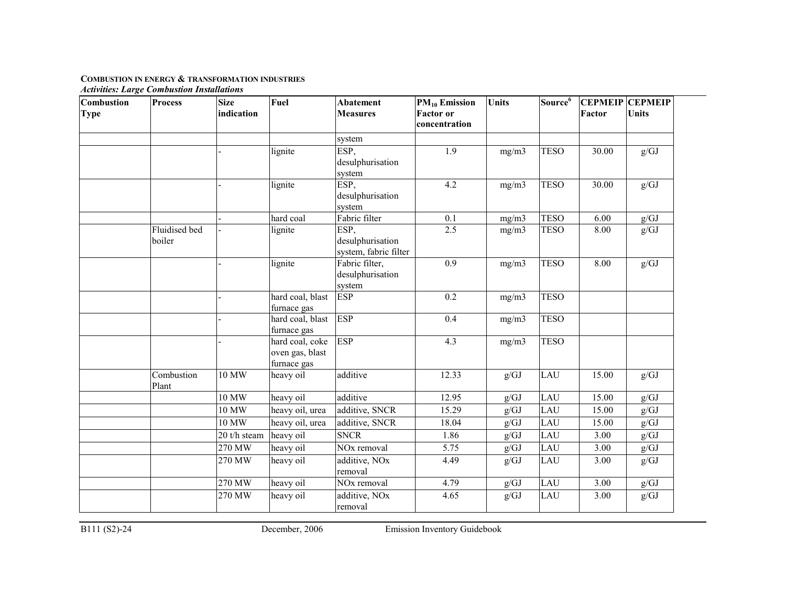| Combustion<br><b>Type</b> | <b>Process</b>          | <b>Size</b><br>indication | Fuel                                              | <b>Abatement</b><br><b>Measures</b>               | $PM_{10}$ Emission<br><b>Factor or</b><br>concentration | <b>Units</b> | Source <sup>6</sup> | <b>CEPMEIP CEPMEIP</b><br>Factor | <b>Units</b> |
|---------------------------|-------------------------|---------------------------|---------------------------------------------------|---------------------------------------------------|---------------------------------------------------------|--------------|---------------------|----------------------------------|--------------|
|                           |                         |                           |                                                   | system                                            |                                                         |              |                     |                                  |              |
|                           |                         |                           | lignite                                           | ESP,<br>desulphurisation<br>system                | 1.9                                                     | mg/m3        | <b>TESO</b>         | 30.00                            | g/GJ         |
|                           |                         |                           | lignite                                           | ESP,<br>desulphurisation<br>system                | 4.2                                                     | mg/m3        | <b>TESO</b>         | 30.00                            | g/GJ         |
|                           |                         |                           | hard coal                                         | Fabric filter                                     | 0.1                                                     | mg/m3        | <b>TESO</b>         | 6.00                             | $g/GJ$       |
|                           | Fluidised bed<br>boiler |                           | lignite                                           | ESP,<br>desulphurisation<br>system, fabric filter | 2.5                                                     | mg/m3        | <b>TESO</b>         | 8.00                             | g/GJ         |
|                           |                         |                           | lignite                                           | Fabric filter,<br>desulphurisation<br>system      | 0.9                                                     | mg/m3        | <b>TESO</b>         | 8.00                             | g/GJ         |
|                           |                         |                           | hard coal, blast<br>furnace gas                   | <b>ESP</b>                                        | 0.2                                                     | mg/m3        | <b>TESO</b>         |                                  |              |
|                           |                         |                           | hard coal, blast<br>furnace gas                   | <b>ESP</b>                                        | 0.4                                                     | mg/m3        | <b>TESO</b>         |                                  |              |
|                           |                         |                           | hard coal, coke<br>oven gas, blast<br>furnace gas | <b>ESP</b>                                        | 4.3                                                     | mg/m3        | <b>TESO</b>         |                                  |              |
|                           | Combustion<br>Plant     | $10\ \mathrm{MW}$         | heavy oil                                         | additive                                          | 12.33                                                   | g/GJ         | LAU                 | 15.00                            | g/GJ         |
|                           |                         | 10 MW                     | heavy oil                                         | additive                                          | 12.95                                                   | g/GJ         | LAU                 | 15.00                            | g/GJ         |
|                           |                         | 10 MW                     | heavy oil, urea                                   | additive, SNCR                                    | 15.29                                                   | g/GJ         | LAU                 | 15.00                            | g/GJ         |
|                           |                         | 10 MW                     | heavy oil, urea                                   | additive, SNCR                                    | 18.04                                                   | g/GJ         | LAU                 | 15.00                            | g/GJ         |
|                           |                         | 20 t/h steam              | heavy oil                                         | <b>SNCR</b>                                       | 1.86                                                    | $g/GJ$       | LAU                 | 3.00                             | $g/GJ$       |
|                           |                         | $270$ MW                  | heavy oil                                         | NO <sub>x</sub> removal                           | 5.75                                                    | g/GJ         | LAU                 | 3.00                             | $g/GJ$       |
|                           |                         | 270 MW                    | heavy oil                                         | additive, NO <sub>x</sub><br>removal              | 4.49                                                    | g/GJ         | LAU                 | 3.00                             | g/GJ         |
|                           |                         | 270 MW                    | heavy oil                                         | NO <sub>x</sub> removal                           | 4.79                                                    | g/GJ         | LAU                 | 3.00                             | g/GJ         |
|                           |                         | 270 MW                    | heavy oil                                         | additive, NO <sub>x</sub><br>removal              | 4.65                                                    | g/GJ         | LAU                 | 3.00                             | g/GJ         |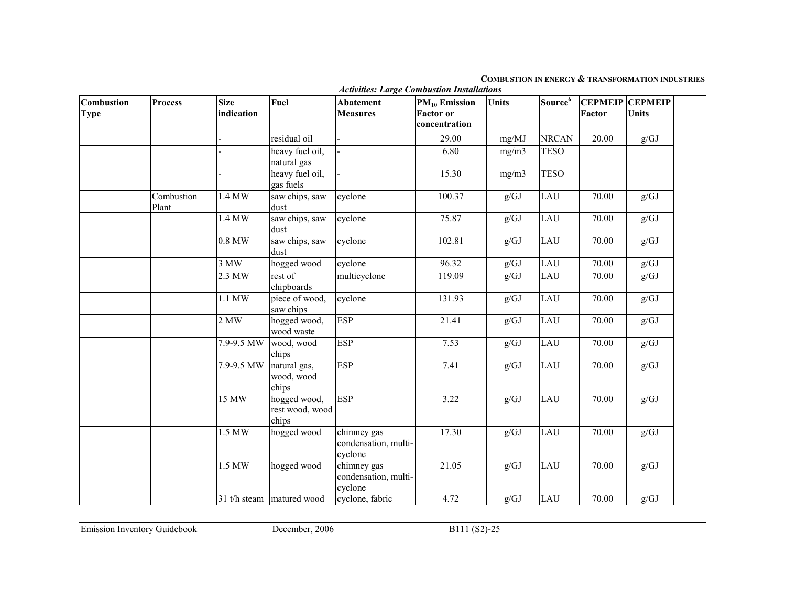#### COMBUSTION IN ENERGY & TRANSFORMATION INDUSTRIES

| Combustion<br><b>Type</b> | <b>Process</b>      | <b>Size</b><br>indication | Fuel                                     | <b>Abatement</b><br><b>Measures</b>            | <b>PM<sub>10</sub></b> Emission<br><b>Factor</b> or<br>concentration | <b>Units</b> | Source <sup>6</sup> | <b>CEPMEIP</b><br>Factor | <b>CEPMEIP</b><br><b>Units</b> |
|---------------------------|---------------------|---------------------------|------------------------------------------|------------------------------------------------|----------------------------------------------------------------------|--------------|---------------------|--------------------------|--------------------------------|
|                           |                     |                           | residual oil                             |                                                | 29.00                                                                | mg/MJ        | <b>NRCAN</b>        | 20.00                    | g/GJ                           |
|                           |                     |                           | heavy fuel oil,<br>natural gas           |                                                | 6.80                                                                 | mg/m3        | <b>TESO</b>         |                          |                                |
|                           |                     |                           | heavy fuel oil,<br>gas fuels             |                                                | 15.30                                                                | mg/m3        | <b>TESO</b>         |                          |                                |
|                           | Combustion<br>Plant | 1.4 MW                    | saw chips, saw<br>dust                   | cyclone                                        | 100.37                                                               | g/GJ         | LAU                 | 70.00                    | g/GJ                           |
|                           |                     | 1.4 MW                    | saw chips, saw<br>dust                   | cyclone                                        | 75.87                                                                | g/GJ         | LAU                 | 70.00                    | g/GJ                           |
|                           |                     | 0.8 MW                    | saw chips, saw<br>dust                   | cyclone                                        | 102.81                                                               | g/GJ         | LAU                 | 70.00                    | g/GJ                           |
|                           |                     | 3 MW                      | hogged wood                              | cyclone                                        | 96.32                                                                | g/GJ         | LAU                 | 70.00                    | $g/GJ$                         |
|                           |                     | 2.3 MW                    | rest of<br>chipboards                    | multicyclone                                   | 119.09                                                               | g/GJ         | LAU                 | 70.00                    | g/GJ                           |
|                           |                     | 1.1 MW                    | piece of wood,<br>saw chips              | cyclone                                        | 131.93                                                               | g/GJ         | LAU                 | 70.00                    | g/GJ                           |
|                           |                     | 2 MW                      | hogged wood,<br>wood waste               | <b>ESP</b>                                     | 21.41                                                                | g/GJ         | LAU                 | 70.00                    | g/GJ                           |
|                           |                     | 7.9-9.5 MW                | wood, wood<br>chips                      | <b>ESP</b>                                     | 7.53                                                                 | g/GJ         | LAU                 | 70.00                    | g/GJ                           |
|                           |                     | 7.9-9.5 MW                | natural gas,<br>wood, wood<br>chips      | <b>ESP</b>                                     | 7.41                                                                 | g/GJ         | LAU                 | 70.00                    | g/GJ                           |
|                           |                     | 15 MW                     | hogged wood,<br>rest wood, wood<br>chips | <b>ESP</b>                                     | 3.22                                                                 | g/GJ         | LAU                 | 70.00                    | g/GJ                           |
|                           |                     | 1.5 MW                    | hogged wood                              | chimney gas<br>condensation, multi-<br>cyclone | 17.30                                                                | g/GJ         | LAU                 | 70.00                    | g/GJ                           |
|                           |                     | 1.5 MW                    | hogged wood                              | chimney gas<br>condensation, multi-<br>cyclone | 21.05                                                                | g/GJ         | LAU                 | 70.00                    | g/GJ                           |
|                           |                     |                           | 31 t/h steam   matured wood              | cyclone, fabric                                | 4.72                                                                 | g/GJ         | LAU                 | 70.00                    | g/GJ                           |

Activities: Large Combustion Installations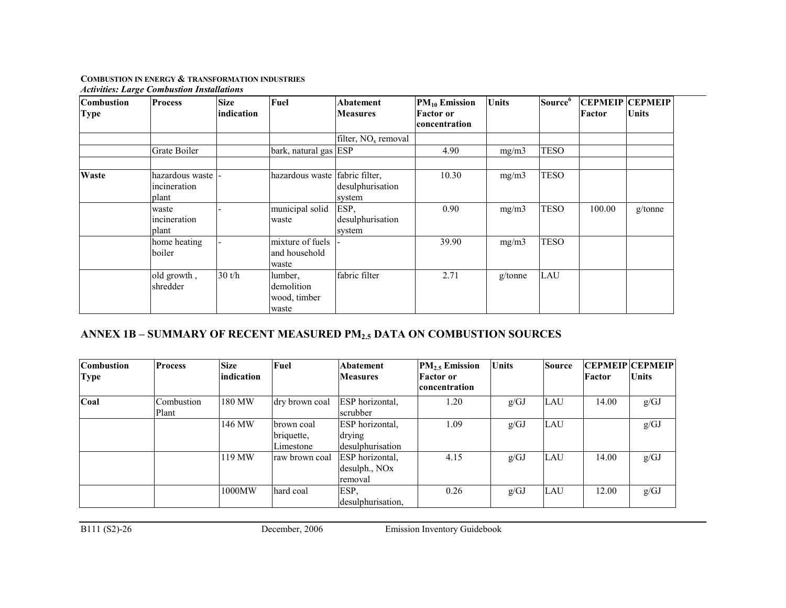| <b>Combustion</b><br><b>Type</b> | <b>Process</b>                           | <b>Size</b><br>indication | Fuel                                           | Abatement<br><b>Measures</b>       | $PM_{10}$ Emission<br><b>Factor</b> or<br>concentration | <b>Units</b> | Source <sup>6</sup> | Factor | <b>CEPMEIP CEPMEIP</b><br><b>Units</b> |
|----------------------------------|------------------------------------------|---------------------------|------------------------------------------------|------------------------------------|---------------------------------------------------------|--------------|---------------------|--------|----------------------------------------|
|                                  |                                          |                           |                                                | filter, $NOx$ removal              |                                                         |              |                     |        |                                        |
|                                  | Grate Boiler                             |                           | bark, natural gas ESP                          |                                    | 4.90                                                    | mg/m3        | <b>TESO</b>         |        |                                        |
| Waste                            | hazardous waste<br>incineration<br>plant |                           | hazardous waste fabric filter,                 | desulphurisation<br>system         | 10.30                                                   | mg/m3        | <b>TESO</b>         |        |                                        |
|                                  | waste<br>incineration<br>plant           |                           | municipal solid<br>waste                       | ESP,<br>desulphurisation<br>system | 0.90                                                    | mg/m3        | <b>TESO</b>         | 100.00 | g/tonne                                |
|                                  | home heating<br>boiler                   |                           | mixture of fuels<br>and household<br>waste     |                                    | 39.90                                                   | mg/m3        | <b>TESO</b>         |        |                                        |
|                                  | old growth,<br>shredder                  | 30 t/h                    | lumber,<br>demolition<br>wood, timber<br>waste | fabric filter                      | 2.71                                                    | $g$ /tonne   | LAU                 |        |                                        |

# ANNEX 1B – SUMMARY OF RECENT MEASURED PM2.5 DATA ON COMBUSTION SOURCES

| <b>Combustion</b><br>Type | <b>Process</b>      | <b>Size</b><br>indication | Fuel                                  | Abatement<br><b>Measures</b>                            | $PM2.5$ Emission<br><b>Factor</b> or<br> concentration | <b>Units</b> | <b>Source</b> | Factor | <b>CEPMEIP CEPMEIP</b><br><i><b>Units</b></i> |
|---------------------------|---------------------|---------------------------|---------------------------------------|---------------------------------------------------------|--------------------------------------------------------|--------------|---------------|--------|-----------------------------------------------|
| Coal                      | Combustion<br>Plant | 180 MW                    | dry brown coal                        | <b>ESP</b> horizontal,<br>scrubber                      | 1.20                                                   | g/GJ         | <b>LAU</b>    | 14.00  | g/GJ                                          |
|                           |                     | 146 MW                    | brown coal<br>briquette,<br>Limestone | ESP horizontal,<br>drying<br>desulphurisation           | 1.09                                                   | g/GJ         | LAU           |        | g/GJ                                          |
|                           |                     | 119 MW                    | raw brown coal                        | ESP horizontal,<br>desulph., NO <sub>x</sub><br>removal | 4.15                                                   | g/GJ         | <b>LAU</b>    | 14.00  | g/GJ                                          |
|                           |                     | 1000MW                    | hard coal                             | ESP,<br>desulphurisation.                               | 0.26                                                   | g/GJ         | LAU           | 12.00  | g/GJ                                          |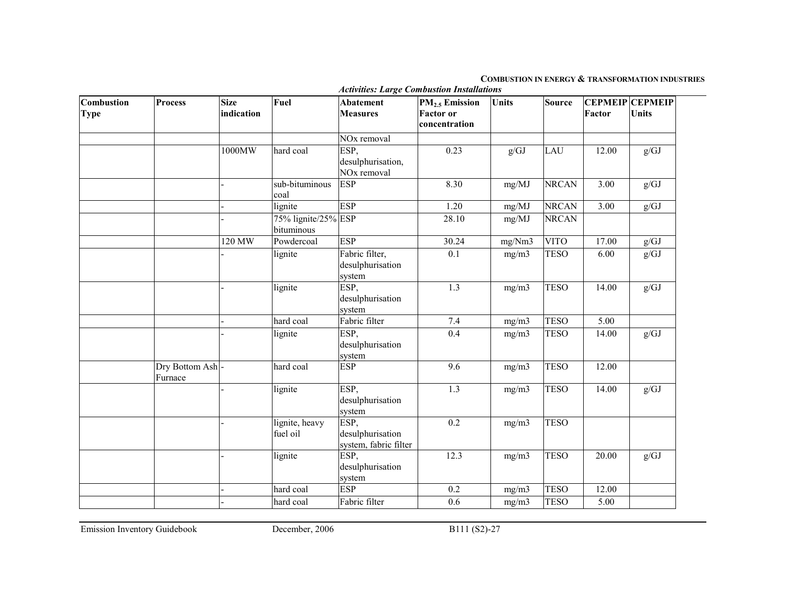#### COMBUSTION IN ENERGY & TRANSFORMATION INDUSTRIES

| Combustion<br><b>Type</b> | <b>Process</b>              | <b>Size</b><br>indication | <b>Fuel</b>                       | <b>Abatement</b><br><b>Measures</b>                  | PM <sub>2.5</sub> Emission<br><b>Factor</b> or<br>concentration | <b>Units</b> | <b>Source</b> | Factor | <b>CEPMEIP CEPMEIP</b><br><b>Units</b> |
|---------------------------|-----------------------------|---------------------------|-----------------------------------|------------------------------------------------------|-----------------------------------------------------------------|--------------|---------------|--------|----------------------------------------|
|                           |                             |                           |                                   | NO <sub>x</sub> removal                              |                                                                 |              |               |        |                                        |
|                           |                             | 1000MW                    | hard coal                         | ESP,<br>desulphurisation,<br>NO <sub>x</sub> removal | 0.23                                                            | g/GJ         | <b>LAU</b>    | 12.00  | g/GJ                                   |
|                           |                             |                           | sub-bituminous<br>coal            | <b>ESP</b>                                           | 8.30                                                            | mg/MJ        | <b>NRCAN</b>  | 3.00   | g/GJ                                   |
|                           |                             |                           | lignite                           | <b>ESP</b>                                           | 1.20                                                            | mg/MJ        | <b>NRCAN</b>  | 3.00   | $g/GJ$                                 |
|                           |                             |                           | 75% lignite/25% ESP<br>bituminous |                                                      | 28.10                                                           | mg/MJ        | <b>NRCAN</b>  |        |                                        |
|                           |                             | 120 MW                    | Powdercoal                        | <b>ESP</b>                                           | 30.24                                                           | mg/Nm3       | <b>VITO</b>   | 17.00  | g/GJ                                   |
|                           |                             |                           | lignite                           | Fabric filter,<br>desulphurisation<br>system         | 0.1                                                             | mg/m3        | <b>TESO</b>   | 6.00   | g/GJ                                   |
|                           |                             |                           | lignite                           | ESP.<br>desulphurisation<br>system                   | 1.3                                                             | mg/m3        | <b>TESO</b>   | 14.00  | g/GJ                                   |
|                           |                             |                           | hard coal                         | Fabric filter                                        | 7.4                                                             | mg/m3        | <b>TESO</b>   | 5.00   |                                        |
|                           |                             |                           | lignite                           | ESP,<br>desulphurisation<br>system                   | 0.4                                                             | mg/m3        | <b>TESO</b>   | 14.00  | g/GJ                                   |
|                           | Dry Bottom Ash -<br>Furnace |                           | hard coal                         | <b>ESP</b>                                           | 9.6                                                             | mg/m3        | <b>TESO</b>   | 12.00  |                                        |
|                           |                             |                           | lignite                           | ESP,<br>desulphurisation<br>system                   | 1.3                                                             | mg/m3        | <b>TESO</b>   | 14.00  | g/GJ                                   |
|                           |                             |                           | lignite, heavy<br>fuel oil        | ESP,<br>desulphurisation<br>system, fabric filter    | 0.2                                                             | mg/m3        | <b>TESO</b>   |        |                                        |
|                           |                             |                           | lignite                           | ESP,<br>desulphurisation<br>system                   | 12.3                                                            | mg/m3        | <b>TESO</b>   | 20.00  | g/GJ                                   |
|                           |                             |                           | hard coal                         | <b>ESP</b>                                           | 0.2                                                             | mg/m3        | <b>TESO</b>   | 12.00  |                                        |
|                           |                             |                           | hard coal                         | Fabric filter                                        | 0.6                                                             | mg/m3        | <b>TESO</b>   | 5.00   |                                        |

Activities: Large Combustion Installations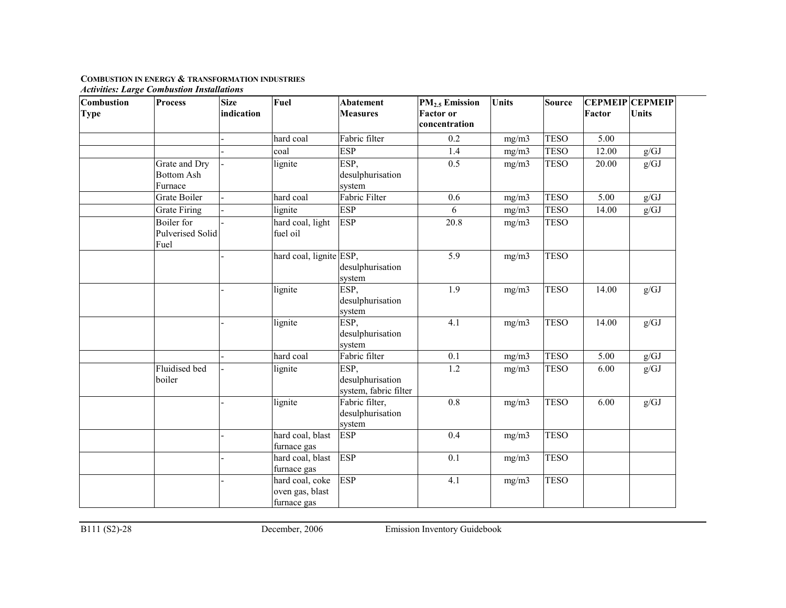| Combustion  | <b>Process</b>                                       | <b>Size</b> | Fuel                                              | <b>Abatement</b>                                  | <b>PM<sub>2.5</sub></b> Emission  | <b>Units</b> | <b>Source</b> |        | <b>CEPMEIP CEPMEIP</b> |
|-------------|------------------------------------------------------|-------------|---------------------------------------------------|---------------------------------------------------|-----------------------------------|--------------|---------------|--------|------------------------|
| <b>Type</b> |                                                      | indication  |                                                   | <b>Measures</b>                                   | <b>Factor</b> or<br>concentration |              |               | Factor | <b>Units</b>           |
|             |                                                      |             | hard coal                                         | Fabric filter                                     | 0.2                               | mg/m3        | <b>TESO</b>   | 5.00   |                        |
|             |                                                      |             | coal                                              | <b>ESP</b>                                        | 1.4                               | mg/m3        | <b>TESO</b>   | 12.00  | g/GJ                   |
|             | Grate and Dry<br><b>Bottom Ash</b><br>Furnace        |             | lignite                                           | ESP,<br>desulphurisation<br>system                | 0.5                               | mg/m3        | <b>TESO</b>   | 20.00  | g/GJ                   |
|             | Grate Boiler                                         |             | hard coal                                         | Fabric Filter                                     | 0.6                               | mg/m3        | <b>TESO</b>   | 5.00   | g/GJ                   |
|             | <b>Grate Firing</b>                                  |             | lignite                                           | <b>ESP</b>                                        | 6                                 | mg/m3        | <b>TESO</b>   | 14.00  | g/GJ                   |
|             | <b>Boiler</b> for<br><b>Pulverised Solid</b><br>Fuel |             | hard coal, light<br>fuel oil                      | <b>ESP</b>                                        | 20.8                              | mg/m3        | <b>TESO</b>   |        |                        |
|             |                                                      |             | hard coal, lignite ESP,                           | desulphurisation<br>system                        | 5.9                               | mg/m3        | <b>TESO</b>   |        |                        |
|             |                                                      |             | lignite                                           | ESP,<br>desulphurisation<br>system                | $\overline{1.9}$                  | mg/m3        | <b>TESO</b>   | 14.00  | g/GJ                   |
|             |                                                      |             | lignite                                           | ESP,<br>desulphurisation<br>system                | 4.1                               | mg/m3        | <b>TESO</b>   | 14.00  | g/GJ                   |
|             |                                                      |             | hard coal                                         | Fabric filter                                     | 0.1                               | mg/m3        | <b>TESO</b>   | 5.00   | g/GJ                   |
|             | Fluidised bed<br>boiler                              |             | lignite                                           | ESP,<br>desulphurisation<br>system, fabric filter | $1.2\,$                           | mg/m3        | <b>TESO</b>   | 6.00   | g/GJ                   |
|             |                                                      |             | lignite                                           | Fabric filter,<br>desulphurisation<br>system      | 0.8                               | mg/m3        | <b>TESO</b>   | 6.00   | g/GJ                   |
|             |                                                      |             | hard coal, blast<br>furnace gas                   | <b>ESP</b>                                        | 0.4                               | mg/m3        | <b>TESO</b>   |        |                        |
|             |                                                      |             | hard coal, blast<br>furnace gas                   | <b>ESP</b>                                        | 0.1                               | mg/m3        | <b>TESO</b>   |        |                        |
|             |                                                      |             | hard coal, coke<br>oven gas, blast<br>furnace gas | <b>ESP</b>                                        | 4.1                               | mg/m3        | <b>TESO</b>   |        |                        |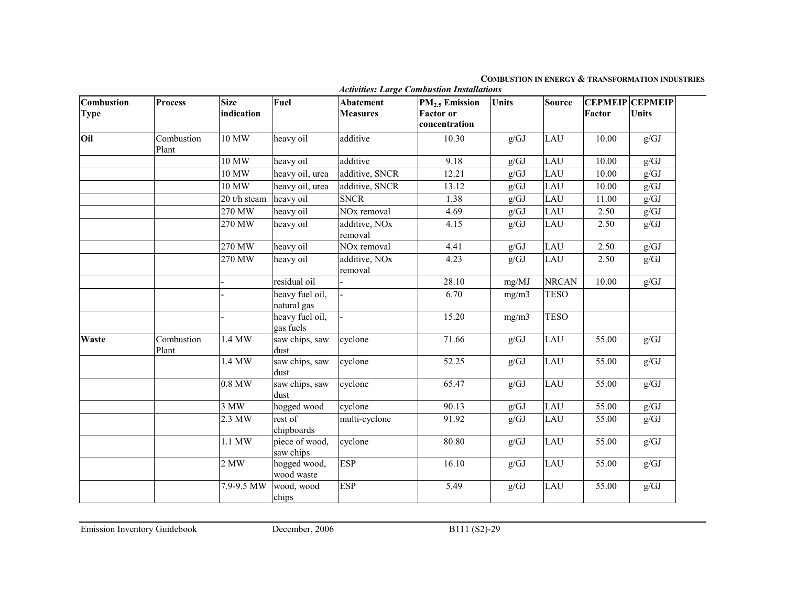#### COMBUSTION IN ENERGY & TRANSFORMATION INDUSTRIES

| Combustion<br><b>Type</b> | <b>Process</b>      | <b>Size</b><br>indication | Fuel                           | <b>Abatement</b><br><b>Measures</b>  | PM <sub>2.5</sub> Emission<br><b>Factor</b> or | <b>Units</b>      | <b>Source</b> | Factor | <b>CEPMEIP CEPMEIP</b><br><b>Units</b> |
|---------------------------|---------------------|---------------------------|--------------------------------|--------------------------------------|------------------------------------------------|-------------------|---------------|--------|----------------------------------------|
|                           |                     |                           |                                |                                      | concentration                                  |                   |               |        |                                        |
| Oil                       | Combustion<br>Plant | 10 MW                     | heavy oil                      | additive                             | 10.30                                          | g/GJ              | LAU           | 10.00  | g/GJ                                   |
|                           |                     | 10 MW                     | heavy oil                      | additive                             | 9.18                                           | g/GJ              | LAU           | 10.00  | g/GJ                                   |
|                           |                     | 10 MW                     | heavy oil, urea                | additive, SNCR                       | 12.21                                          | $g/\overline{GJ}$ | LAU           | 10.00  | $g/GJ$                                 |
|                           |                     | 10 MW                     | heavy oil, urea                | additive, SNCR                       | 13.12                                          | g/GJ              | LAU           | 10.00  | $g/GJ$                                 |
|                           |                     | 20 t/h steam              | heavy oil                      | <b>SNCR</b>                          | 1.38                                           | g/GJ              | LAU           | 11.00  | g/GJ                                   |
|                           |                     | 270 MW                    | heavy oil                      | NO <sub>x</sub> removal              | 4.69                                           | g/GJ              | LAU           | 2.50   | g/GJ                                   |
|                           |                     | 270 MW                    | heavy oil                      | additive, NO <sub>x</sub><br>removal | 4.15                                           | g/GJ              | LAU           | 2.50   | g/GJ                                   |
|                           |                     | 270 MW                    | heavy oil                      | NO <sub>x</sub> removal              | 4.41                                           | g/GJ              | LAU           | 2.50   | $g/\overline{GJ}$                      |
|                           |                     | 270 MW                    | heavy oil                      | additive, NO <sub>x</sub><br>removal | 4.23                                           | g/GJ              | LAU           | 2.50   | g/GJ                                   |
|                           |                     |                           | residual oil                   |                                      | 28.10                                          | mg/MJ             | <b>NRCAN</b>  | 10.00  | g/GJ                                   |
|                           |                     |                           | heavy fuel oil,<br>natural gas |                                      | 6.70                                           | mg/m3             | <b>TESO</b>   |        |                                        |
|                           |                     |                           | heavy fuel oil,<br>gas fuels   |                                      | 15.20                                          | mg/m3             | <b>TESO</b>   |        |                                        |
| Waste                     | Combustion<br>Plant | 1.4 MW                    | saw chips, saw<br>dust         | cyclone                              | 71.66                                          | g/GJ              | LAU           | 55.00  | g/GJ                                   |
|                           |                     | 1.4 MW                    | saw chips, saw<br>dust         | cyclone                              | 52.25                                          | g/GJ              | LAU           | 55.00  | g/GJ                                   |
|                           |                     | 0.8 MW                    | saw chips, saw<br>dust         | cyclone                              | 65.47                                          | g/GJ              | LAU           | 55.00  | g/GJ                                   |
|                           |                     | 3 MW                      | hogged wood                    | cyclone                              | 90.13                                          | g/GJ              | LAU           | 55.00  | g/GJ                                   |
|                           |                     | 2.3 MW                    | rest of<br>chipboards          | multi-cyclone                        | 91.92                                          | g/GJ              | LAU           | 55.00  | g/GJ                                   |
|                           |                     | $1.1$ MW                  | piece of wood,<br>saw chips    | cyclone                              | 80.80                                          | g/GJ              | LAU           | 55.00  | g/GJ                                   |
|                           |                     | 2 MW                      | hogged wood,<br>wood waste     | <b>ESP</b>                           | 16.10                                          | g/GJ              | LAU           | 55.00  | g/GJ                                   |
|                           |                     | 7.9-9.5 MW                | wood, wood<br>chips            | <b>ESP</b>                           | 5.49                                           | g/GJ              | LAU           | 55.00  | g/GJ                                   |

Activities: Large Combustion Installations